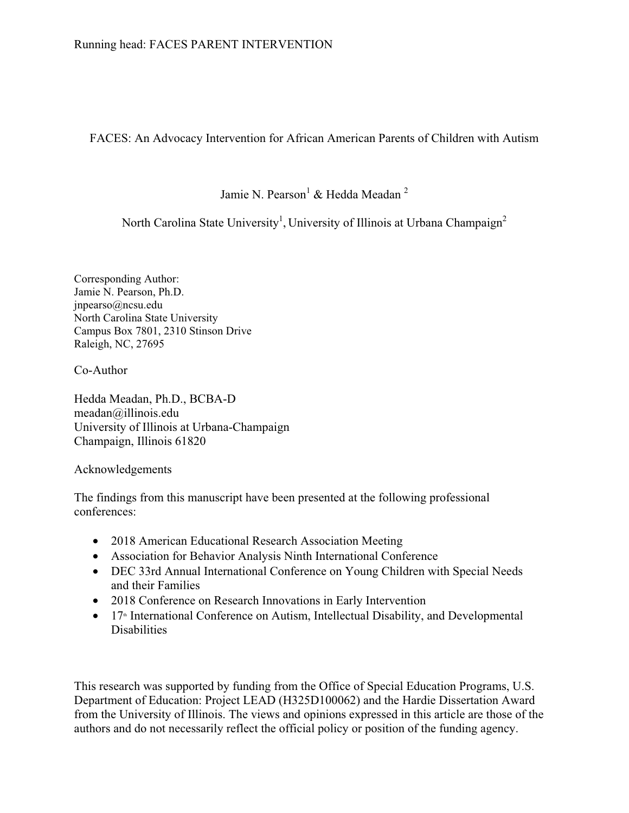FACES: An Advocacy Intervention for African American Parents of Children with Autism

Jamie N. Pearson $^1$  & Hedda Meadan  $^2$ 

North Carolina State University<sup>1</sup>, University of Illinois at Urbana Champaign<sup>2</sup>

Corresponding Author: Jamie N. Pearson, Ph.D. jnpearso@ncsu.edu North Carolina State University Campus Box 7801, 2310 Stinson Drive Raleigh, NC, 27695

Co-Author

Hedda Meadan, Ph.D., BCBA-D meadan@illinois.edu University of Illinois at Urbana-Champaign Champaign, Illinois 61820

Acknowledgements

The findings from this manuscript have been presented at the following professional conferences:

- 2018 American Educational Research Association Meeting
- Association for Behavior Analysis Ninth International Conference
- DEC 33rd Annual International Conference on Young Children with Special Needs and their Families
- 2018 Conference on Research Innovations in Early Intervention
- 17<sup>th</sup> International Conference on Autism, Intellectual Disability, and Developmental **Disabilities**

This research was supported by funding from the Office of Special Education Programs, U.S. Department of Education: Project LEAD (H325D100062) and the Hardie Dissertation Award from the University of Illinois. The views and opinions expressed in this article are those of the authors and do not necessarily reflect the official policy or position of the funding agency.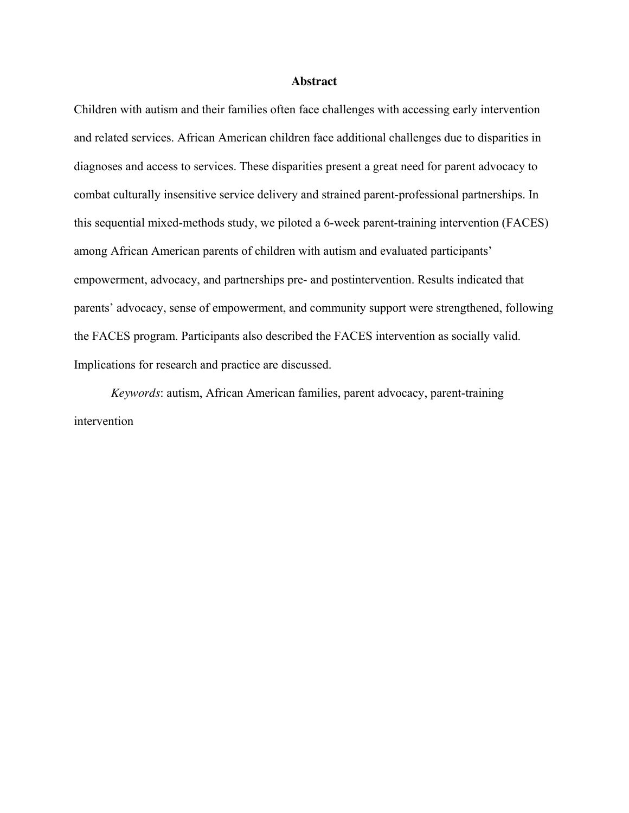#### **Abstract**

Children with autism and their families often face challenges with accessing early intervention and related services. African American children face additional challenges due to disparities in diagnoses and access to services. These disparities present a great need for parent advocacy to combat culturally insensitive service delivery and strained parent-professional partnerships. In this sequential mixed-methods study, we piloted a 6-week parent-training intervention (FACES) among African American parents of children with autism and evaluated participants' empowerment, advocacy, and partnerships pre- and postintervention. Results indicated that parents' advocacy, sense of empowerment, and community support were strengthened, following the FACES program. Participants also described the FACES intervention as socially valid. Implications for research and practice are discussed.

*Keywords*: autism, African American families, parent advocacy, parent-training intervention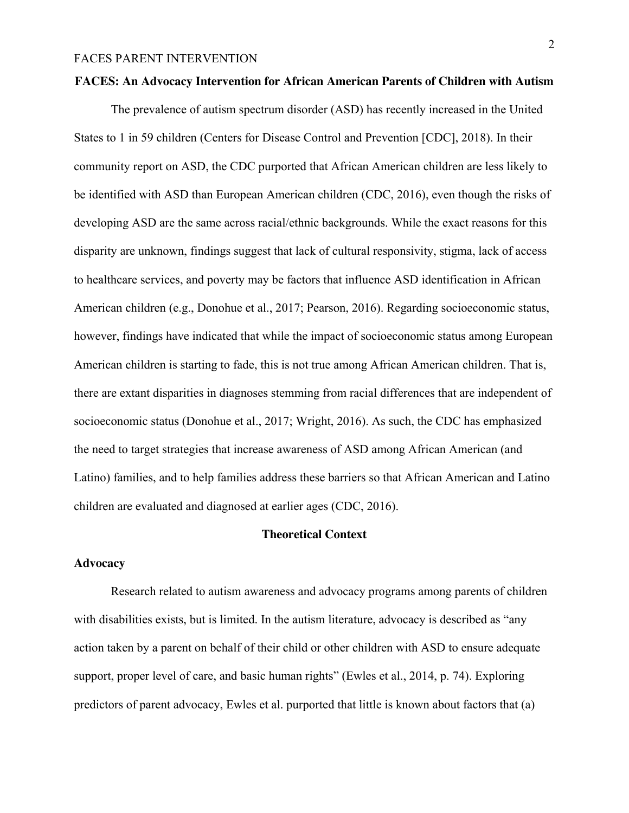#### **FACES: An Advocacy Intervention for African American Parents of Children with Autism**

The prevalence of autism spectrum disorder (ASD) has recently increased in the United States to 1 in 59 children (Centers for Disease Control and Prevention [CDC], 2018). In their community report on ASD, the CDC purported that African American children are less likely to be identified with ASD than European American children (CDC, 2016), even though the risks of developing ASD are the same across racial/ethnic backgrounds. While the exact reasons for this disparity are unknown, findings suggest that lack of cultural responsivity, stigma, lack of access to healthcare services, and poverty may be factors that influence ASD identification in African American children (e.g., Donohue et al., 2017; Pearson, 2016). Regarding socioeconomic status, however, findings have indicated that while the impact of socioeconomic status among European American children is starting to fade, this is not true among African American children. That is, there are extant disparities in diagnoses stemming from racial differences that are independent of socioeconomic status (Donohue et al., 2017; Wright, 2016). As such, the CDC has emphasized the need to target strategies that increase awareness of ASD among African American (and Latino) families, and to help families address these barriers so that African American and Latino children are evaluated and diagnosed at earlier ages (CDC, 2016).

#### **Theoretical Context**

# **Advocacy**

Research related to autism awareness and advocacy programs among parents of children with disabilities exists, but is limited. In the autism literature, advocacy is described as "any action taken by a parent on behalf of their child or other children with ASD to ensure adequate support, proper level of care, and basic human rights" (Ewles et al., 2014, p. 74). Exploring predictors of parent advocacy, Ewles et al. purported that little is known about factors that (a)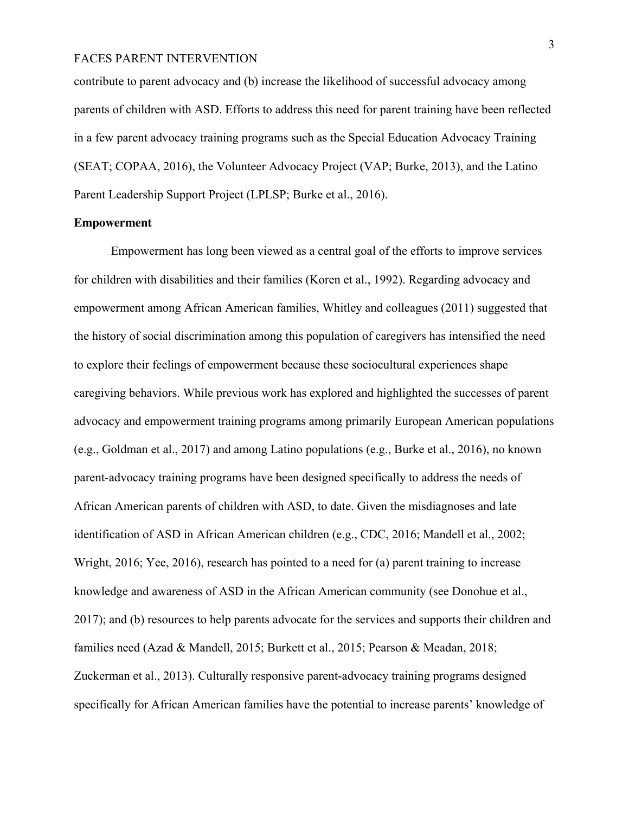contribute to parent advocacy and (b) increase the likelihood of successful advocacy among parents of children with ASD. Efforts to address this need for parent training have been reflected in a few parent advocacy training programs such as the Special Education Advocacy Training (SEAT; COPAA, 2016), the Volunteer Advocacy Project (VAP; Burke, 2013), and the Latino Parent Leadership Support Project (LPLSP; Burke et al., 2016).

## **Empowerment**

Empowerment has long been viewed as a central goal of the efforts to improve services for children with disabilities and their families (Koren et al., 1992). Regarding advocacy and empowerment among African American families, Whitley and colleagues (2011) suggested that the history of social discrimination among this population of caregivers has intensified the need to explore their feelings of empowerment because these sociocultural experiences shape caregiving behaviors. While previous work has explored and highlighted the successes of parent advocacy and empowerment training programs among primarily European American populations (e.g., Goldman et al., 2017) and among Latino populations (e.g., Burke et al., 2016), no known parent-advocacy training programs have been designed specifically to address the needs of African American parents of children with ASD, to date. Given the misdiagnoses and late identification of ASD in African American children (e.g., CDC, 2016; Mandell et al., 2002; Wright, 2016; Yee, 2016), research has pointed to a need for (a) parent training to increase knowledge and awareness of ASD in the African American community (see Donohue et al., 2017); and (b) resources to help parents advocate for the services and supports their children and families need (Azad & Mandell, 2015; Burkett et al., 2015; Pearson & Meadan, 2018; Zuckerman et al., 2013). Culturally responsive parent-advocacy training programs designed specifically for African American families have the potential to increase parents' knowledge of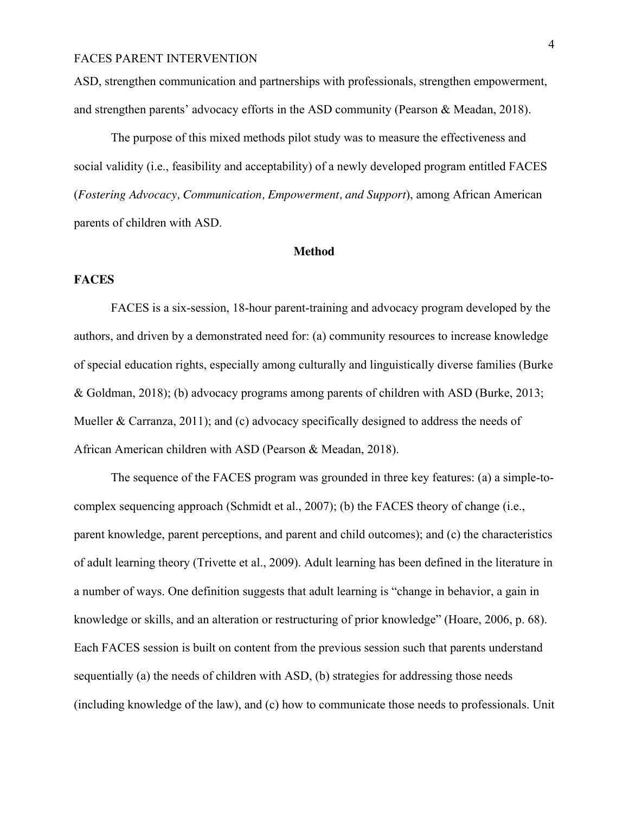ASD, strengthen communication and partnerships with professionals, strengthen empowerment, and strengthen parents' advocacy efforts in the ASD community (Pearson & Meadan, 2018).

The purpose of this mixed methods pilot study was to measure the effectiveness and social validity (i.e., feasibility and acceptability) of a newly developed program entitled FACES (*Fostering Advocacy, Communication, Empowerment, and Support*), among African American parents of children with ASD.

#### **Method**

# **FACES**

FACES is a six-session, 18-hour parent-training and advocacy program developed by the authors, and driven by a demonstrated need for: (a) community resources to increase knowledge of special education rights, especially among culturally and linguistically diverse families (Burke & Goldman, 2018); (b) advocacy programs among parents of children with ASD (Burke, 2013; Mueller & Carranza, 2011); and (c) advocacy specifically designed to address the needs of African American children with ASD (Pearson & Meadan, 2018).

The sequence of the FACES program was grounded in three key features: (a) a simple-tocomplex sequencing approach (Schmidt et al., 2007); (b) the FACES theory of change (i.e., parent knowledge, parent perceptions, and parent and child outcomes); and (c) the characteristics of adult learning theory (Trivette et al., 2009). Adult learning has been defined in the literature in a number of ways. One definition suggests that adult learning is "change in behavior, a gain in knowledge or skills, and an alteration or restructuring of prior knowledge" (Hoare, 2006, p. 68). Each FACES session is built on content from the previous session such that parents understand sequentially (a) the needs of children with ASD, (b) strategies for addressing those needs (including knowledge of the law), and (c) how to communicate those needs to professionals. Unit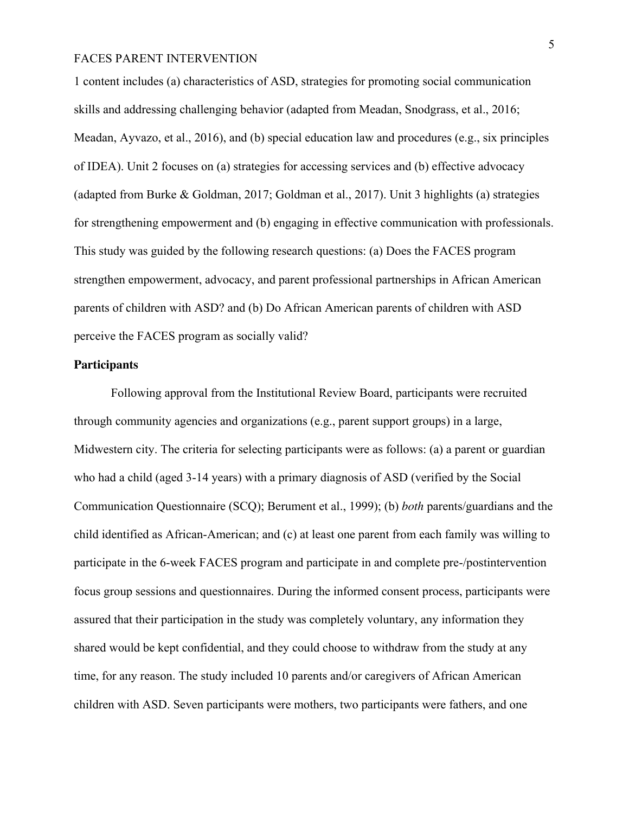1 content includes (a) characteristics of ASD, strategies for promoting social communication skills and addressing challenging behavior (adapted from Meadan, Snodgrass, et al., 2016; Meadan, Ayvazo, et al., 2016), and (b) special education law and procedures (e.g., six principles of IDEA). Unit 2 focuses on (a) strategies for accessing services and (b) effective advocacy (adapted from Burke & Goldman, 2017; Goldman et al., 2017). Unit 3 highlights (a) strategies for strengthening empowerment and (b) engaging in effective communication with professionals. This study was guided by the following research questions: (a) Does the FACES program strengthen empowerment, advocacy, and parent professional partnerships in African American parents of children with ASD? and (b) Do African American parents of children with ASD perceive the FACES program as socially valid?

### **Participants**

Following approval from the Institutional Review Board, participants were recruited through community agencies and organizations (e.g., parent support groups) in a large, Midwestern city. The criteria for selecting participants were as follows: (a) a parent or guardian who had a child (aged 3-14 years) with a primary diagnosis of ASD (verified by the Social Communication Questionnaire (SCQ); Berument et al., 1999); (b) *both* parents/guardians and the child identified as African-American; and (c) at least one parent from each family was willing to participate in the 6-week FACES program and participate in and complete pre-/postintervention focus group sessions and questionnaires. During the informed consent process, participants were assured that their participation in the study was completely voluntary, any information they shared would be kept confidential, and they could choose to withdraw from the study at any time, for any reason. The study included 10 parents and/or caregivers of African American children with ASD. Seven participants were mothers, two participants were fathers, and one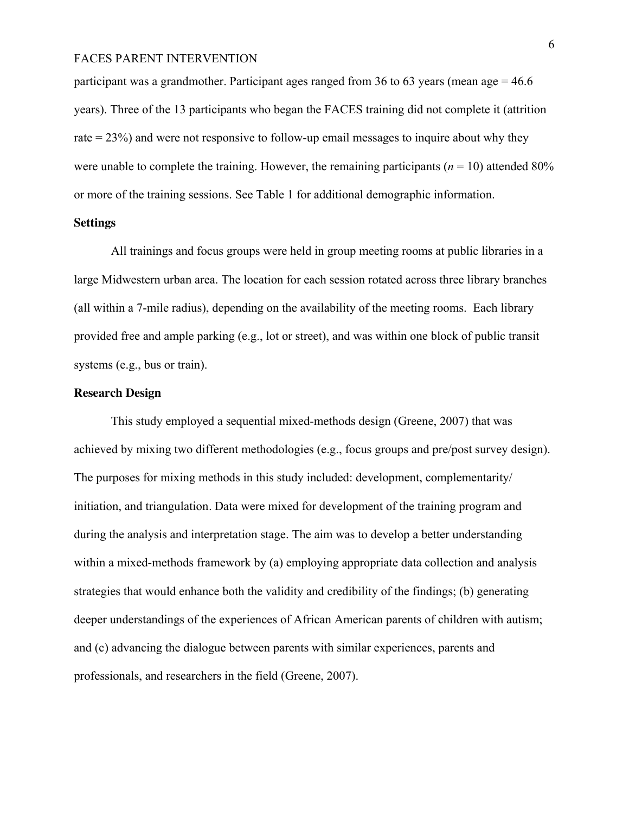participant was a grandmother. Participant ages ranged from 36 to 63 years (mean age  $= 46.6$ ) years). Three of the 13 participants who began the FACES training did not complete it (attrition rate = 23%) and were not responsive to follow-up email messages to inquire about why they were unable to complete the training. However, the remaining participants  $(n = 10)$  attended 80% or more of the training sessions. See Table 1 for additional demographic information.

## **Settings**

All trainings and focus groups were held in group meeting rooms at public libraries in a large Midwestern urban area. The location for each session rotated across three library branches (all within a 7-mile radius), depending on the availability of the meeting rooms. Each library provided free and ample parking (e.g., lot or street), and was within one block of public transit systems (e.g., bus or train).

## **Research Design**

This study employed a sequential mixed-methods design (Greene, 2007) that was achieved by mixing two different methodologies (e.g., focus groups and pre/post survey design). The purposes for mixing methods in this study included: development, complementarity/ initiation, and triangulation*.* Data were mixed for development of the training program and during the analysis and interpretation stage. The aim was to develop a better understanding within a mixed-methods framework by (a) employing appropriate data collection and analysis strategies that would enhance both the validity and credibility of the findings; (b) generating deeper understandings of the experiences of African American parents of children with autism; and (c) advancing the dialogue between parents with similar experiences, parents and professionals, and researchers in the field (Greene, 2007).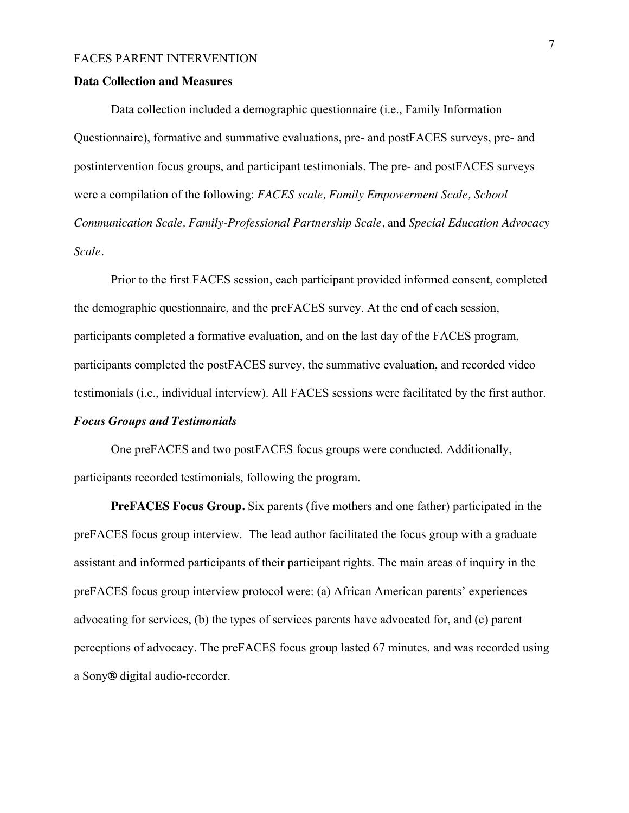#### **Data Collection and Measures**

Data collection included a demographic questionnaire (i.e., Family Information Questionnaire), formative and summative evaluations, pre- and postFACES surveys, pre- and postintervention focus groups, and participant testimonials. The pre- and postFACES surveys were a compilation of the following: *FACES scale, Family Empowerment Scale, School Communication Scale, Family-Professional Partnership Scale,* and *Special Education Advocacy Scale.*

Prior to the first FACES session, each participant provided informed consent, completed the demographic questionnaire, and the preFACES survey. At the end of each session, participants completed a formative evaluation, and on the last day of the FACES program, participants completed the postFACES survey, the summative evaluation, and recorded video testimonials (i.e., individual interview). All FACES sessions were facilitated by the first author. *Focus Groups and Testimonials* 

# One preFACES and two postFACES focus groups were conducted. Additionally, participants recorded testimonials, following the program.

**PreFACES Focus Group.** Six parents (five mothers and one father) participated in the preFACES focus group interview. The lead author facilitated the focus group with a graduate assistant and informed participants of their participant rights. The main areas of inquiry in the preFACES focus group interview protocol were: (a) African American parents' experiences advocating for services, (b) the types of services parents have advocated for, and (c) parent perceptions of advocacy. The preFACES focus group lasted 67 minutes, and was recorded using a Sony**®** digital audio-recorder.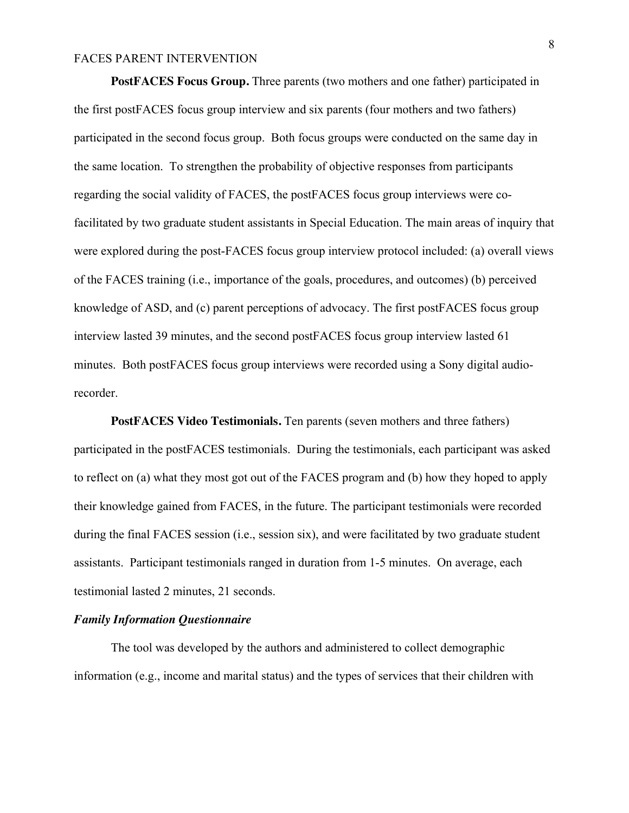**PostFACES Focus Group.** Three parents (two mothers and one father) participated in the first postFACES focus group interview and six parents (four mothers and two fathers) participated in the second focus group. Both focus groups were conducted on the same day in the same location. To strengthen the probability of objective responses from participants regarding the social validity of FACES, the postFACES focus group interviews were cofacilitated by two graduate student assistants in Special Education. The main areas of inquiry that were explored during the post-FACES focus group interview protocol included: (a) overall views of the FACES training (i.e., importance of the goals, procedures, and outcomes) (b) perceived knowledge of ASD, and (c) parent perceptions of advocacy. The first postFACES focus group interview lasted 39 minutes, and the second postFACES focus group interview lasted 61 minutes. Both postFACES focus group interviews were recorded using a Sony digital audiorecorder.

**PostFACES Video Testimonials.** Ten parents (seven mothers and three fathers) participated in the postFACES testimonials. During the testimonials, each participant was asked to reflect on (a) what they most got out of the FACES program and (b) how they hoped to apply their knowledge gained from FACES, in the future. The participant testimonials were recorded during the final FACES session (i.e., session six), and were facilitated by two graduate student assistants. Participant testimonials ranged in duration from 1-5 minutes. On average, each testimonial lasted 2 minutes, 21 seconds.

## *Family Information Questionnaire*

The tool was developed by the authors and administered to collect demographic information (e.g., income and marital status) and the types of services that their children with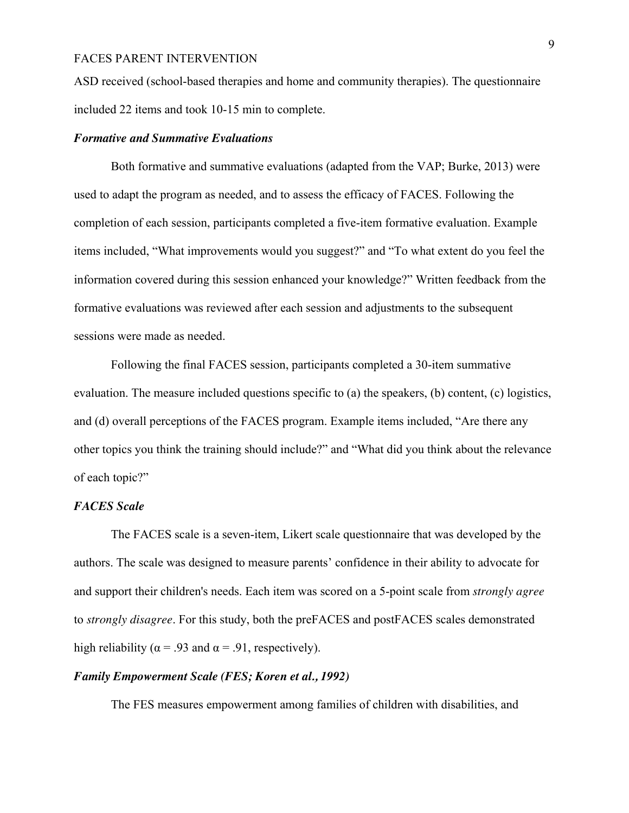ASD received (school-based therapies and home and community therapies). The questionnaire included 22 items and took 10-15 min to complete.

#### *Formative and Summative Evaluations*

Both formative and summative evaluations (adapted from the VAP; Burke, 2013) were used to adapt the program as needed, and to assess the efficacy of FACES. Following the completion of each session, participants completed a five-item formative evaluation. Example items included, "What improvements would you suggest?" and "To what extent do you feel the information covered during this session enhanced your knowledge?" Written feedback from the formative evaluations was reviewed after each session and adjustments to the subsequent sessions were made as needed.

Following the final FACES session, participants completed a 30-item summative evaluation. The measure included questions specific to (a) the speakers, (b) content, (c) logistics, and (d) overall perceptions of the FACES program. Example items included, "Are there any other topics you think the training should include?" and "What did you think about the relevance of each topic?"

## *FACES Scale*

The FACES scale is a seven-item, Likert scale questionnaire that was developed by the authors. The scale was designed to measure parents' confidence in their ability to advocate for and support their children's needs. Each item was scored on a 5-point scale from *strongly agree* to *strongly disagree*. For this study, both the preFACES and postFACES scales demonstrated high reliability ( $\alpha$  = .93 and  $\alpha$  = .91, respectively).

## *Family Empowerment Scale (FES; Koren et al., 1992)*

The FES measures empowerment among families of children with disabilities, and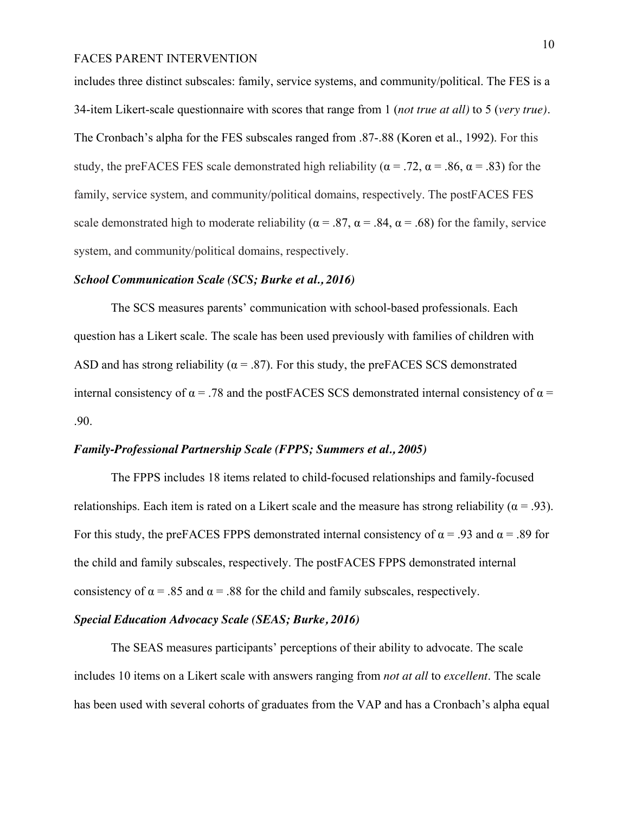includes three distinct subscales: family, service systems, and community/political. The FES is a 34-item Likert-scale questionnaire with scores that range from 1 (*not true at all)* to 5 (*very true).*  The Cronbach's alpha for the FES subscales ranged from .87-.88 (Koren et al., 1992). For this study, the preFACES FES scale demonstrated high reliability ( $\alpha$  = .72,  $\alpha$  = .86,  $\alpha$  = .83) for the family, service system, and community/political domains, respectively. The postFACES FES scale demonstrated high to moderate reliability ( $\alpha = .87$ ,  $\alpha = .84$ ,  $\alpha = .68$ ) for the family, service system, and community/political domains, respectively.

#### *School Communication Scale (SCS; Burke et al., 2016)*

The SCS measures parents' communication with school-based professionals. Each question has a Likert scale. The scale has been used previously with families of children with ASD and has strong reliability ( $\alpha$  = .87). For this study, the preFACES SCS demonstrated internal consistency of  $\alpha$  = .78 and the postFACES SCS demonstrated internal consistency of  $\alpha$  = .90.

## *Family-Professional Partnership Scale (FPPS; Summers et al., 2005)*

The FPPS includes 18 items related to child-focused relationships and family-focused relationships. Each item is rated on a Likert scale and the measure has strong reliability ( $\alpha$  = .93). For this study, the preFACES FPPS demonstrated internal consistency of  $\alpha$  = .93 and  $\alpha$  = .89 for the child and family subscales, respectively. The postFACES FPPS demonstrated internal consistency of  $\alpha$  = .85 and  $\alpha$  = .88 for the child and family subscales, respectively.

# *Special Education Advocacy Scale (SEAS; Burke, 2016)*

The SEAS measures participants' perceptions of their ability to advocate. The scale includes 10 items on a Likert scale with answers ranging from *not at all* to *excellent*. The scale has been used with several cohorts of graduates from the VAP and has a Cronbach's alpha equal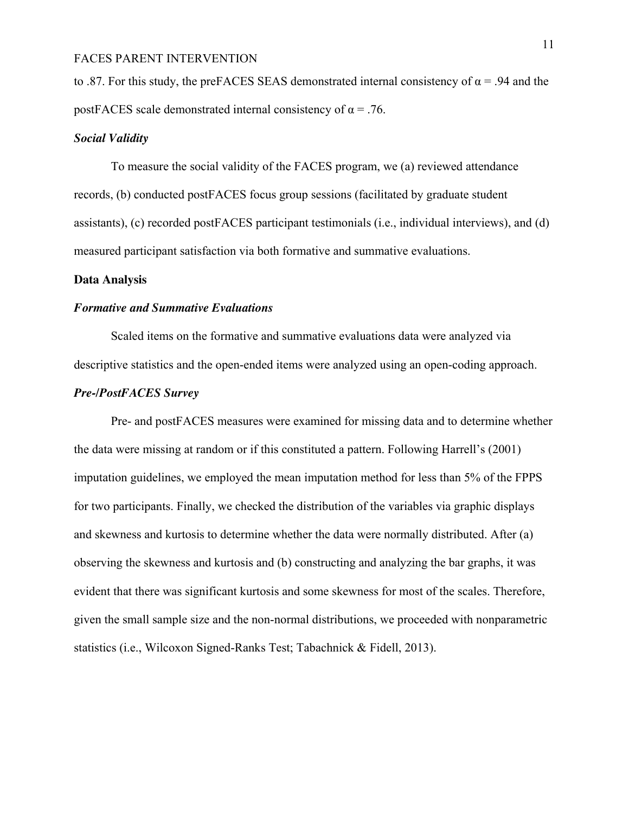to .87. For this study, the preFACES SEAS demonstrated internal consistency of  $\alpha$  = .94 and the postFACES scale demonstrated internal consistency of  $\alpha = .76$ .

## *Social Validity*

To measure the social validity of the FACES program, we (a) reviewed attendance records, (b) conducted postFACES focus group sessions (facilitated by graduate student assistants), (c) recorded postFACES participant testimonials (i.e., individual interviews), and (d) measured participant satisfaction via both formative and summative evaluations.

#### **Data Analysis**

#### *Formative and Summative Evaluations*

Scaled items on the formative and summative evaluations data were analyzed via descriptive statistics and the open-ended items were analyzed using an open-coding approach.

## *Pre-/PostFACES Survey*

Pre- and postFACES measures were examined for missing data and to determine whether the data were missing at random or if this constituted a pattern. Following Harrell's (2001) imputation guidelines, we employed the mean imputation method for less than 5% of the FPPS for two participants. Finally, we checked the distribution of the variables via graphic displays and skewness and kurtosis to determine whether the data were normally distributed. After (a) observing the skewness and kurtosis and (b) constructing and analyzing the bar graphs, it was evident that there was significant kurtosis and some skewness for most of the scales. Therefore, given the small sample size and the non-normal distributions, we proceeded with nonparametric statistics (i.e., Wilcoxon Signed-Ranks Test; Tabachnick & Fidell, 2013).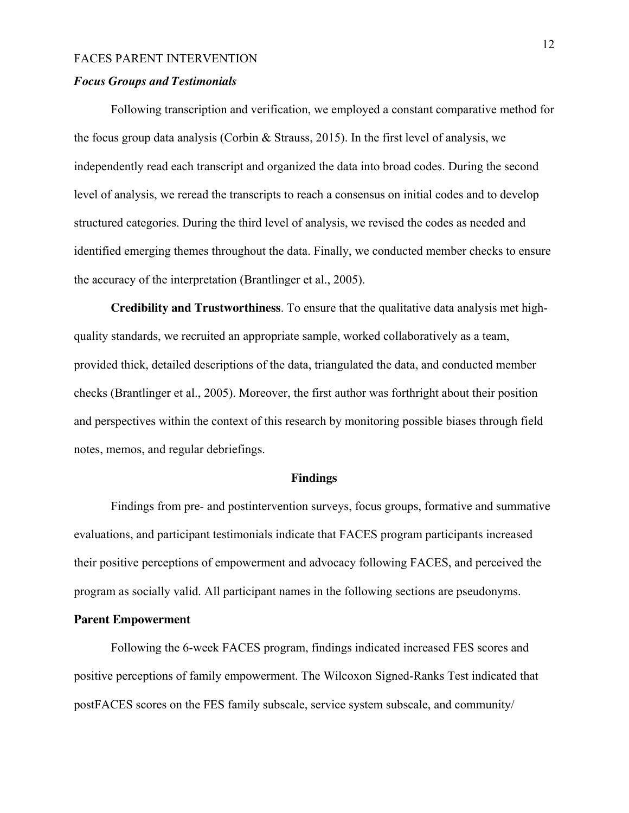## *Focus Groups and Testimonials*

Following transcription and verification, we employed a constant comparative method for the focus group data analysis (Corbin  $\&$  Strauss, 2015). In the first level of analysis, we independently read each transcript and organized the data into broad codes. During the second level of analysis, we reread the transcripts to reach a consensus on initial codes and to develop structured categories. During the third level of analysis, we revised the codes as needed and identified emerging themes throughout the data. Finally, we conducted member checks to ensure the accuracy of the interpretation (Brantlinger et al., 2005).

**Credibility and Trustworthiness**. To ensure that the qualitative data analysis met highquality standards, we recruited an appropriate sample, worked collaboratively as a team, provided thick, detailed descriptions of the data, triangulated the data, and conducted member checks (Brantlinger et al., 2005). Moreover, the first author was forthright about their position and perspectives within the context of this research by monitoring possible biases through field notes, memos, and regular debriefings.

#### **Findings**

Findings from pre- and postintervention surveys, focus groups, formative and summative evaluations, and participant testimonials indicate that FACES program participants increased their positive perceptions of empowerment and advocacy following FACES, and perceived the program as socially valid. All participant names in the following sections are pseudonyms.

## **Parent Empowerment**

Following the 6-week FACES program, findings indicated increased FES scores and positive perceptions of family empowerment. The Wilcoxon Signed-Ranks Test indicated that postFACES scores on the FES family subscale, service system subscale, and community/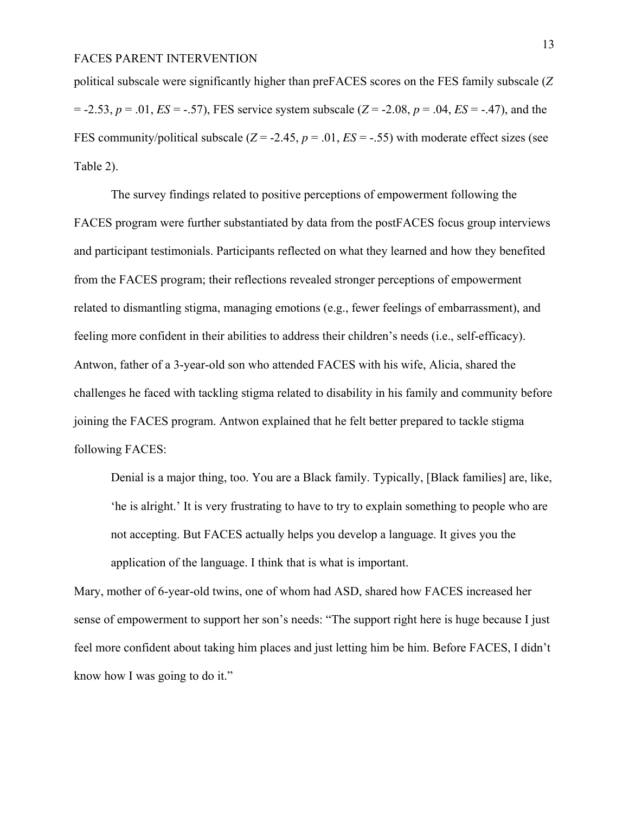political subscale were significantly higher than preFACES scores on the FES family subscale (*Z*  $= -2.53$ ,  $p = .01$ ,  $ES = -.57$ ), FES service system subscale ( $Z = -2.08$ ,  $p = .04$ ,  $ES = -.47$ ), and the FES community/political subscale  $(Z = -2.45, p = .01, ES = -.55)$  with moderate effect sizes (see Table 2).

The survey findings related to positive perceptions of empowerment following the FACES program were further substantiated by data from the postFACES focus group interviews and participant testimonials. Participants reflected on what they learned and how they benefited from the FACES program; their reflections revealed stronger perceptions of empowerment related to dismantling stigma, managing emotions (e.g., fewer feelings of embarrassment), and feeling more confident in their abilities to address their children's needs (i.e., self-efficacy). Antwon, father of a 3-year-old son who attended FACES with his wife, Alicia, shared the challenges he faced with tackling stigma related to disability in his family and community before joining the FACES program. Antwon explained that he felt better prepared to tackle stigma following FACES:

Denial is a major thing, too. You are a Black family. Typically, [Black families] are, like, 'he is alright.' It is very frustrating to have to try to explain something to people who are not accepting. But FACES actually helps you develop a language. It gives you the application of the language. I think that is what is important.

Mary, mother of 6-year-old twins, one of whom had ASD, shared how FACES increased her sense of empowerment to support her son's needs: "The support right here is huge because I just feel more confident about taking him places and just letting him be him. Before FACES, I didn't know how I was going to do it."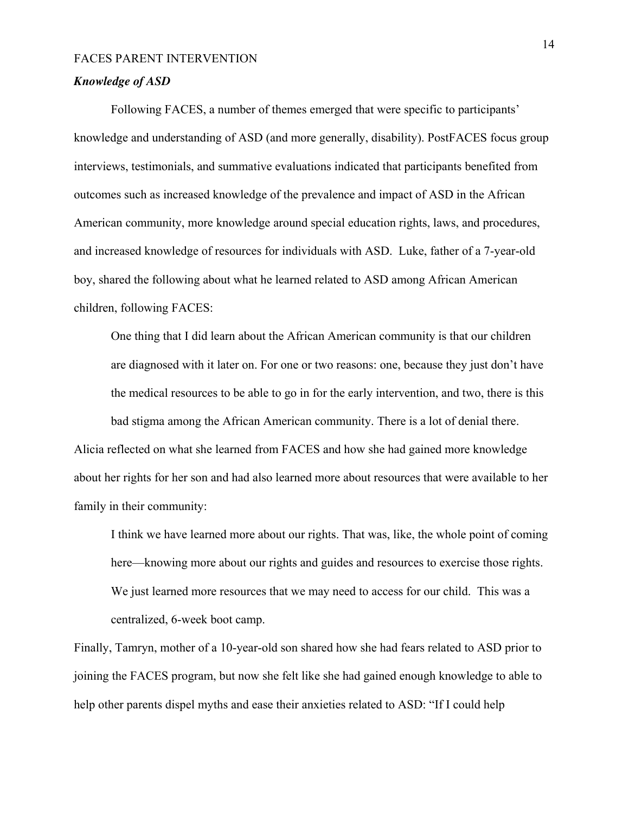# *Knowledge of ASD*

Following FACES, a number of themes emerged that were specific to participants' knowledge and understanding of ASD (and more generally, disability). PostFACES focus group interviews, testimonials, and summative evaluations indicated that participants benefited from outcomes such as increased knowledge of the prevalence and impact of ASD in the African American community, more knowledge around special education rights, laws, and procedures, and increased knowledge of resources for individuals with ASD. Luke, father of a 7-year-old boy, shared the following about what he learned related to ASD among African American children, following FACES:

One thing that I did learn about the African American community is that our children are diagnosed with it later on. For one or two reasons: one, because they just don't have the medical resources to be able to go in for the early intervention, and two, there is this bad stigma among the African American community. There is a lot of denial there. Alicia reflected on what she learned from FACES and how she had gained more knowledge about her rights for her son and had also learned more about resources that were available to her family in their community:

I think we have learned more about our rights. That was, like, the whole point of coming here—knowing more about our rights and guides and resources to exercise those rights. We just learned more resources that we may need to access for our child. This was a centralized, 6-week boot camp.

Finally, Tamryn, mother of a 10-year-old son shared how she had fears related to ASD prior to joining the FACES program, but now she felt like she had gained enough knowledge to able to help other parents dispel myths and ease their anxieties related to ASD: "If I could help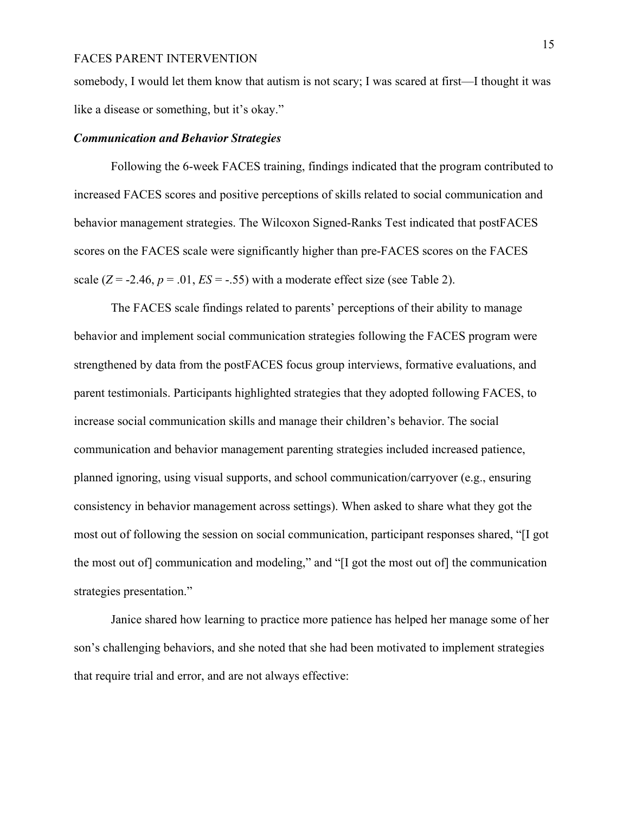somebody, I would let them know that autism is not scary; I was scared at first—I thought it was like a disease or something, but it's okay."

#### *Communication and Behavior Strategies*

Following the 6-week FACES training, findings indicated that the program contributed to increased FACES scores and positive perceptions of skills related to social communication and behavior management strategies. The Wilcoxon Signed-Ranks Test indicated that postFACES scores on the FACES scale were significantly higher than pre-FACES scores on the FACES scale  $(Z = -2.46, p = .01, ES = -.55)$  with a moderate effect size (see Table 2).

The FACES scale findings related to parents' perceptions of their ability to manage behavior and implement social communication strategies following the FACES program were strengthened by data from the postFACES focus group interviews, formative evaluations, and parent testimonials. Participants highlighted strategies that they adopted following FACES, to increase social communication skills and manage their children's behavior. The social communication and behavior management parenting strategies included increased patience, planned ignoring, using visual supports, and school communication/carryover (e.g., ensuring consistency in behavior management across settings). When asked to share what they got the most out of following the session on social communication, participant responses shared, "[I got the most out of] communication and modeling," and "[I got the most out of] the communication strategies presentation."

Janice shared how learning to practice more patience has helped her manage some of her son's challenging behaviors, and she noted that she had been motivated to implement strategies that require trial and error, and are not always effective: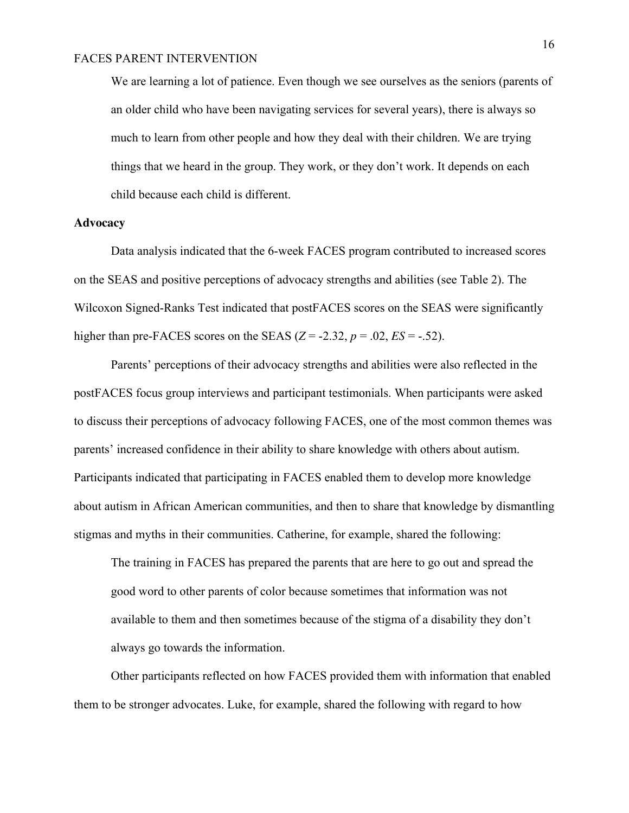We are learning a lot of patience. Even though we see ourselves as the seniors (parents of an older child who have been navigating services for several years), there is always so much to learn from other people and how they deal with their children. We are trying things that we heard in the group. They work, or they don't work. It depends on each child because each child is different.

#### **Advocacy**

Data analysis indicated that the 6-week FACES program contributed to increased scores on the SEAS and positive perceptions of advocacy strengths and abilities (see Table 2). The Wilcoxon Signed-Ranks Test indicated that postFACES scores on the SEAS were significantly higher than pre-FACES scores on the SEAS  $(Z = -2.32, p = .02, ES = -.52)$ .

Parents' perceptions of their advocacy strengths and abilities were also reflected in the postFACES focus group interviews and participant testimonials. When participants were asked to discuss their perceptions of advocacy following FACES, one of the most common themes was parents' increased confidence in their ability to share knowledge with others about autism. Participants indicated that participating in FACES enabled them to develop more knowledge about autism in African American communities, and then to share that knowledge by dismantling stigmas and myths in their communities. Catherine, for example, shared the following:

The training in FACES has prepared the parents that are here to go out and spread the good word to other parents of color because sometimes that information was not available to them and then sometimes because of the stigma of a disability they don't always go towards the information.

Other participants reflected on how FACES provided them with information that enabled them to be stronger advocates. Luke, for example, shared the following with regard to how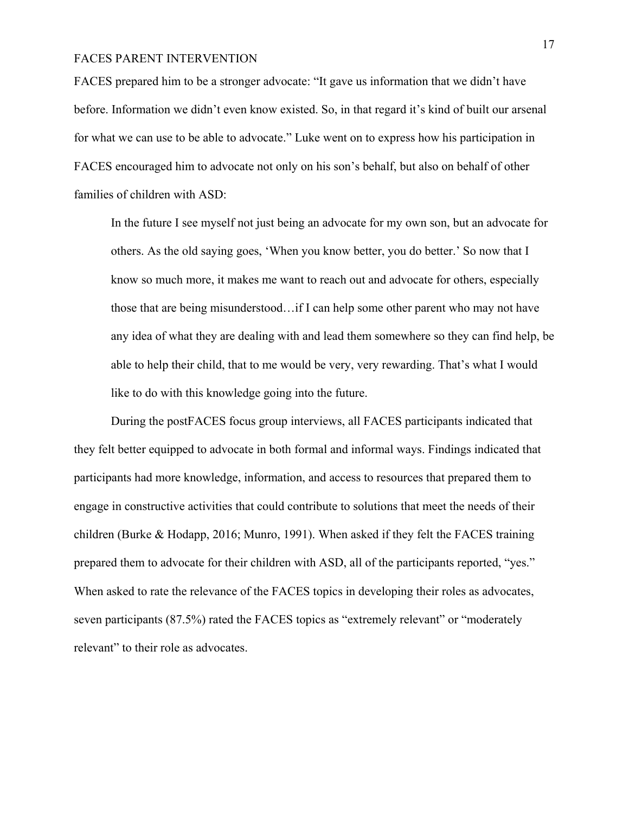FACES prepared him to be a stronger advocate: "It gave us information that we didn't have before. Information we didn't even know existed. So, in that regard it's kind of built our arsenal for what we can use to be able to advocate." Luke went on to express how his participation in FACES encouraged him to advocate not only on his son's behalf, but also on behalf of other families of children with ASD:

In the future I see myself not just being an advocate for my own son, but an advocate for others. As the old saying goes, 'When you know better, you do better.' So now that I know so much more, it makes me want to reach out and advocate for others, especially those that are being misunderstood…if I can help some other parent who may not have any idea of what they are dealing with and lead them somewhere so they can find help, be able to help their child, that to me would be very, very rewarding. That's what I would like to do with this knowledge going into the future.

During the postFACES focus group interviews, all FACES participants indicated that they felt better equipped to advocate in both formal and informal ways. Findings indicated that participants had more knowledge, information, and access to resources that prepared them to engage in constructive activities that could contribute to solutions that meet the needs of their children (Burke & Hodapp, 2016; Munro, 1991). When asked if they felt the FACES training prepared them to advocate for their children with ASD, all of the participants reported, "yes." When asked to rate the relevance of the FACES topics in developing their roles as advocates, seven participants (87.5%) rated the FACES topics as "extremely relevant" or "moderately relevant" to their role as advocates.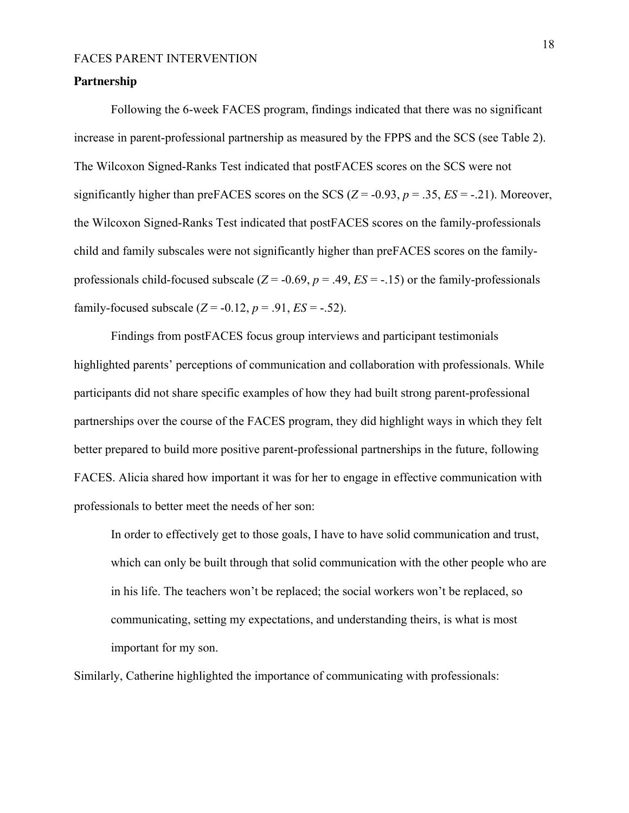#### **Partnership**

Following the 6-week FACES program, findings indicated that there was no significant increase in parent-professional partnership as measured by the FPPS and the SCS (see Table 2). The Wilcoxon Signed-Ranks Test indicated that postFACES scores on the SCS were not significantly higher than preFACES scores on the SCS  $(Z = -0.93, p = .35, ES = -.21)$ . Moreover, the Wilcoxon Signed-Ranks Test indicated that postFACES scores on the family-professionals child and family subscales were not significantly higher than preFACES scores on the familyprofessionals child-focused subscale  $(Z = -0.69, p = .49, ES = -.15)$  or the family-professionals family-focused subscale  $(Z = -0.12, p = .91, ES = -.52)$ .

Findings from postFACES focus group interviews and participant testimonials highlighted parents' perceptions of communication and collaboration with professionals. While participants did not share specific examples of how they had built strong parent-professional partnerships over the course of the FACES program, they did highlight ways in which they felt better prepared to build more positive parent-professional partnerships in the future, following FACES. Alicia shared how important it was for her to engage in effective communication with professionals to better meet the needs of her son:

In order to effectively get to those goals, I have to have solid communication and trust, which can only be built through that solid communication with the other people who are in his life. The teachers won't be replaced; the social workers won't be replaced, so communicating, setting my expectations, and understanding theirs, is what is most important for my son.

Similarly, Catherine highlighted the importance of communicating with professionals: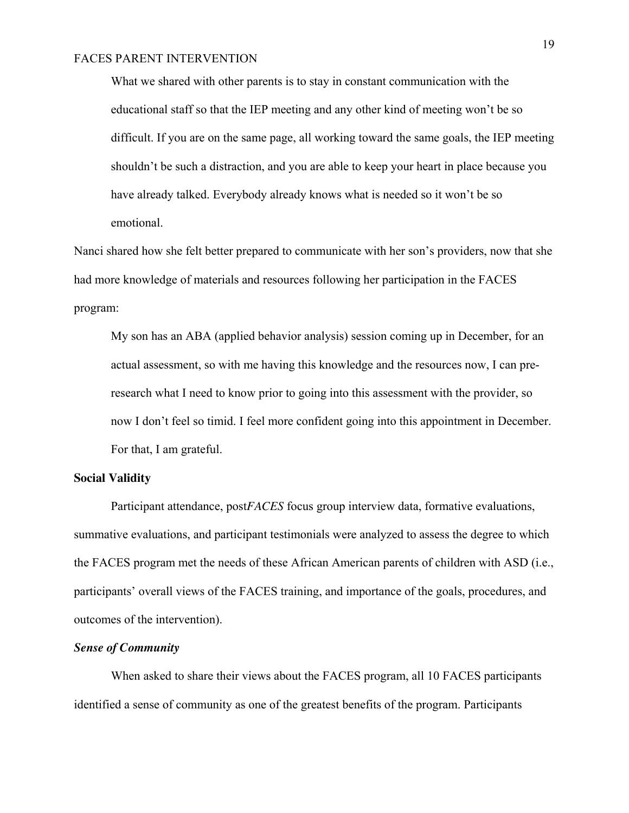What we shared with other parents is to stay in constant communication with the educational staff so that the IEP meeting and any other kind of meeting won't be so difficult. If you are on the same page, all working toward the same goals, the IEP meeting shouldn't be such a distraction, and you are able to keep your heart in place because you have already talked. Everybody already knows what is needed so it won't be so emotional.

Nanci shared how she felt better prepared to communicate with her son's providers, now that she had more knowledge of materials and resources following her participation in the FACES program:

My son has an ABA (applied behavior analysis) session coming up in December, for an actual assessment, so with me having this knowledge and the resources now, I can preresearch what I need to know prior to going into this assessment with the provider, so now I don't feel so timid. I feel more confident going into this appointment in December. For that, I am grateful.

#### **Social Validity**

Participant attendance, post*FACES* focus group interview data, formative evaluations, summative evaluations, and participant testimonials were analyzed to assess the degree to which the FACES program met the needs of these African American parents of children with ASD (i.e., participants' overall views of the FACES training, and importance of the goals, procedures, and outcomes of the intervention).

# *Sense of Community*

When asked to share their views about the FACES program, all 10 FACES participants identified a sense of community as one of the greatest benefits of the program. Participants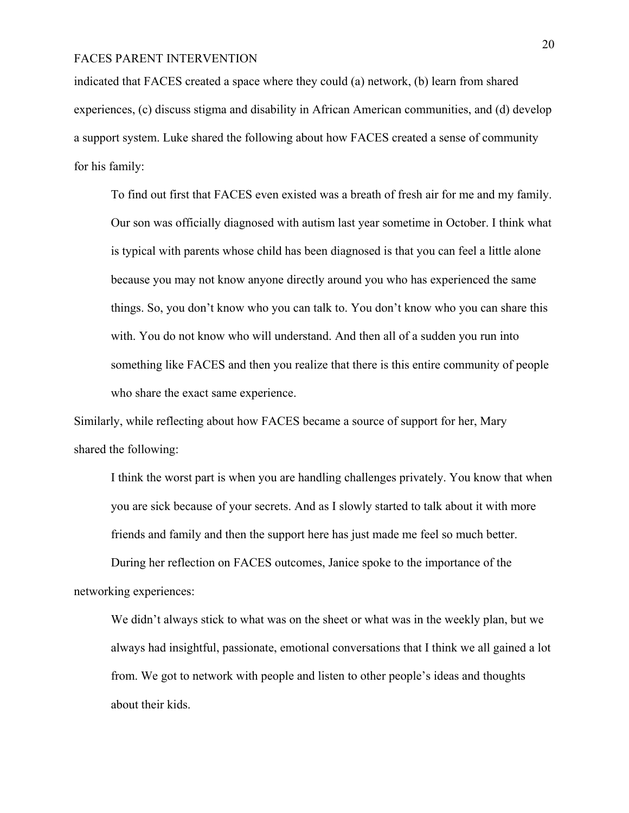indicated that FACES created a space where they could (a) network, (b) learn from shared experiences, (c) discuss stigma and disability in African American communities, and (d) develop a support system. Luke shared the following about how FACES created a sense of community for his family:

To find out first that FACES even existed was a breath of fresh air for me and my family. Our son was officially diagnosed with autism last year sometime in October. I think what is typical with parents whose child has been diagnosed is that you can feel a little alone because you may not know anyone directly around you who has experienced the same things. So, you don't know who you can talk to. You don't know who you can share this with. You do not know who will understand. And then all of a sudden you run into something like FACES and then you realize that there is this entire community of people who share the exact same experience.

Similarly, while reflecting about how FACES became a source of support for her, Mary shared the following:

I think the worst part is when you are handling challenges privately. You know that when you are sick because of your secrets. And as I slowly started to talk about it with more friends and family and then the support here has just made me feel so much better.

During her reflection on FACES outcomes, Janice spoke to the importance of the networking experiences:

We didn't always stick to what was on the sheet or what was in the weekly plan, but we always had insightful, passionate, emotional conversations that I think we all gained a lot from. We got to network with people and listen to other people's ideas and thoughts about their kids.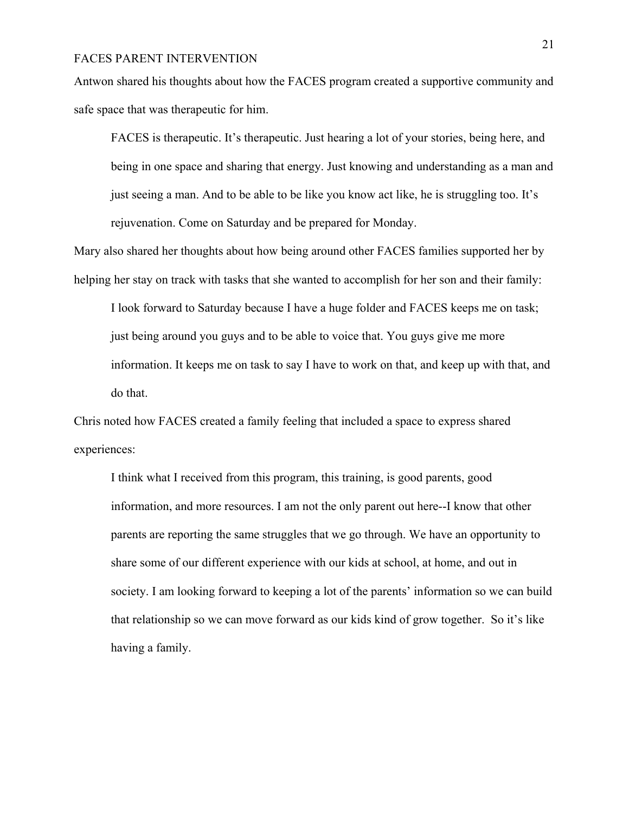Antwon shared his thoughts about how the FACES program created a supportive community and safe space that was therapeutic for him.

FACES is therapeutic. It's therapeutic. Just hearing a lot of your stories, being here, and being in one space and sharing that energy. Just knowing and understanding as a man and just seeing a man. And to be able to be like you know act like, he is struggling too. It's rejuvenation. Come on Saturday and be prepared for Monday.

Mary also shared her thoughts about how being around other FACES families supported her by helping her stay on track with tasks that she wanted to accomplish for her son and their family:

I look forward to Saturday because I have a huge folder and FACES keeps me on task; just being around you guys and to be able to voice that. You guys give me more information. It keeps me on task to say I have to work on that, and keep up with that, and do that.

Chris noted how FACES created a family feeling that included a space to express shared experiences:

I think what I received from this program, this training, is good parents, good information, and more resources. I am not the only parent out here--I know that other parents are reporting the same struggles that we go through. We have an opportunity to share some of our different experience with our kids at school, at home, and out in society. I am looking forward to keeping a lot of the parents' information so we can build that relationship so we can move forward as our kids kind of grow together. So it's like having a family.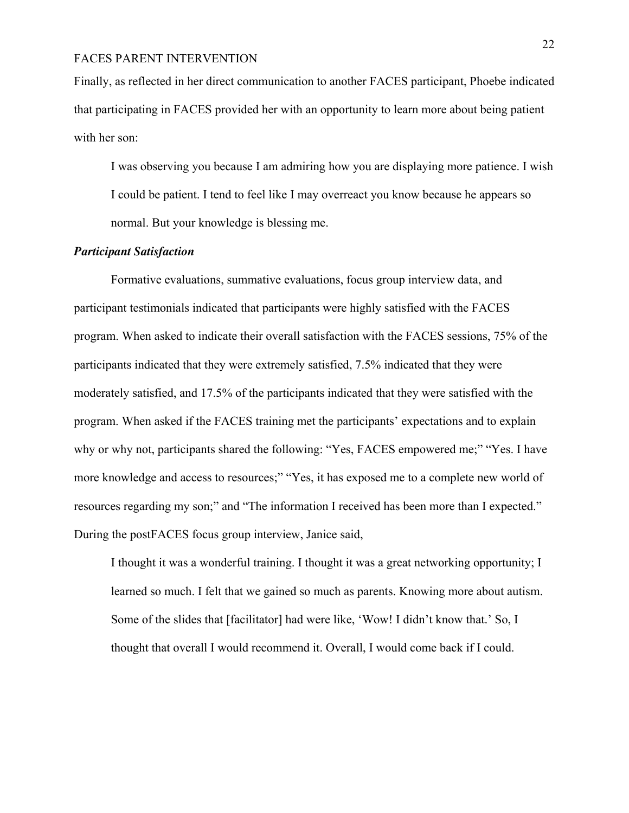Finally, as reflected in her direct communication to another FACES participant, Phoebe indicated that participating in FACES provided her with an opportunity to learn more about being patient with her son:

I was observing you because I am admiring how you are displaying more patience. I wish I could be patient. I tend to feel like I may overreact you know because he appears so normal. But your knowledge is blessing me.

# *Participant Satisfaction*

Formative evaluations, summative evaluations, focus group interview data, and participant testimonials indicated that participants were highly satisfied with the FACES program. When asked to indicate their overall satisfaction with the FACES sessions, 75% of the participants indicated that they were extremely satisfied, 7.5% indicated that they were moderately satisfied, and 17.5% of the participants indicated that they were satisfied with the program. When asked if the FACES training met the participants' expectations and to explain why or why not, participants shared the following: "Yes, FACES empowered me;" "Yes. I have more knowledge and access to resources;" "Yes, it has exposed me to a complete new world of resources regarding my son;" and "The information I received has been more than I expected." During the postFACES focus group interview, Janice said,

I thought it was a wonderful training. I thought it was a great networking opportunity; I learned so much. I felt that we gained so much as parents. Knowing more about autism. Some of the slides that [facilitator] had were like, 'Wow! I didn't know that.' So, I thought that overall I would recommend it. Overall, I would come back if I could.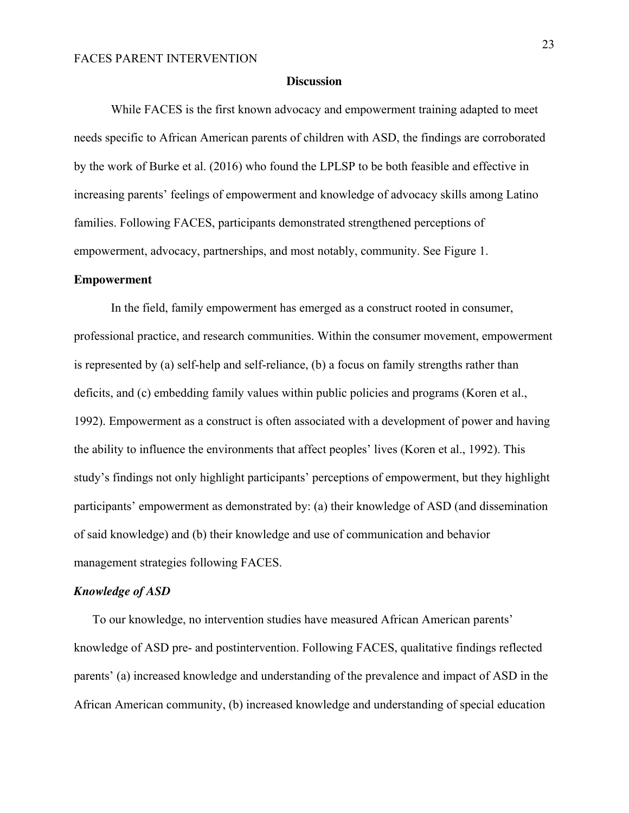#### **Discussion**

While FACES is the first known advocacy and empowerment training adapted to meet needs specific to African American parents of children with ASD, the findings are corroborated by the work of Burke et al. (2016) who found the LPLSP to be both feasible and effective in increasing parents' feelings of empowerment and knowledge of advocacy skills among Latino families. Following FACES, participants demonstrated strengthened perceptions of empowerment, advocacy, partnerships, and most notably, community. See Figure 1.

#### **Empowerment**

In the field, family empowerment has emerged as a construct rooted in consumer, professional practice, and research communities. Within the consumer movement, empowerment is represented by (a) self-help and self-reliance, (b) a focus on family strengths rather than deficits, and (c) embedding family values within public policies and programs (Koren et al., 1992). Empowerment as a construct is often associated with a development of power and having the ability to influence the environments that affect peoples' lives (Koren et al., 1992). This study's findings not only highlight participants' perceptions of empowerment, but they highlight participants' empowerment as demonstrated by: (a) their knowledge of ASD (and dissemination of said knowledge) and (b) their knowledge and use of communication and behavior management strategies following FACES.

#### *Knowledge of ASD*

To our knowledge, no intervention studies have measured African American parents' knowledge of ASD pre- and postintervention. Following FACES, qualitative findings reflected parents' (a) increased knowledge and understanding of the prevalence and impact of ASD in the African American community, (b) increased knowledge and understanding of special education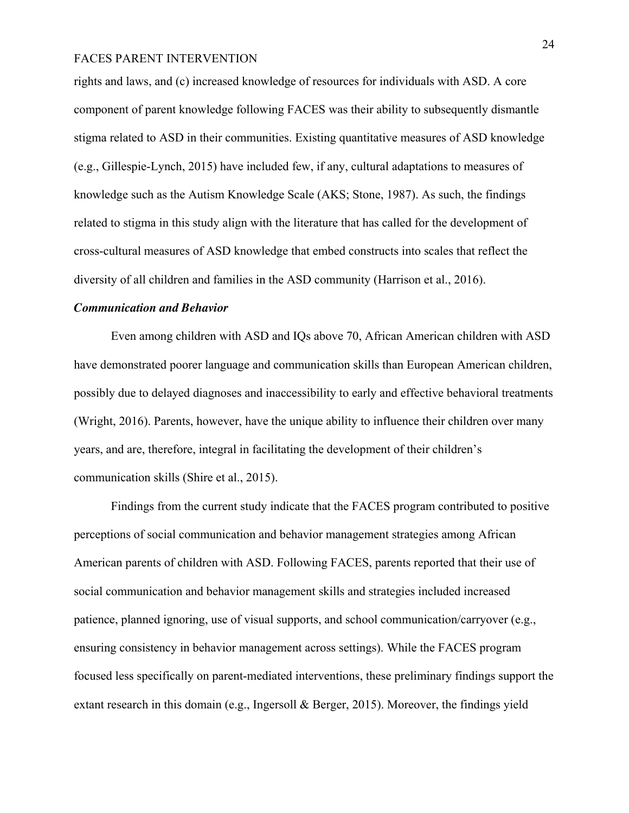rights and laws, and (c) increased knowledge of resources for individuals with ASD. A core component of parent knowledge following FACES was their ability to subsequently dismantle stigma related to ASD in their communities. Existing quantitative measures of ASD knowledge (e.g., Gillespie-Lynch, 2015) have included few, if any, cultural adaptations to measures of knowledge such as the Autism Knowledge Scale (AKS; Stone, 1987). As such, the findings related to stigma in this study align with the literature that has called for the development of cross-cultural measures of ASD knowledge that embed constructs into scales that reflect the diversity of all children and families in the ASD community (Harrison et al., 2016).

### *Communication and Behavior*

Even among children with ASD and IQs above 70, African American children with ASD have demonstrated poorer language and communication skills than European American children, possibly due to delayed diagnoses and inaccessibility to early and effective behavioral treatments (Wright, 2016). Parents, however, have the unique ability to influence their children over many years, and are, therefore, integral in facilitating the development of their children's communication skills (Shire et al., 2015).

Findings from the current study indicate that the FACES program contributed to positive perceptions of social communication and behavior management strategies among African American parents of children with ASD. Following FACES, parents reported that their use of social communication and behavior management skills and strategies included increased patience, planned ignoring, use of visual supports, and school communication/carryover (e.g., ensuring consistency in behavior management across settings). While the FACES program focused less specifically on parent-mediated interventions, these preliminary findings support the extant research in this domain (e.g., Ingersoll & Berger, 2015). Moreover, the findings yield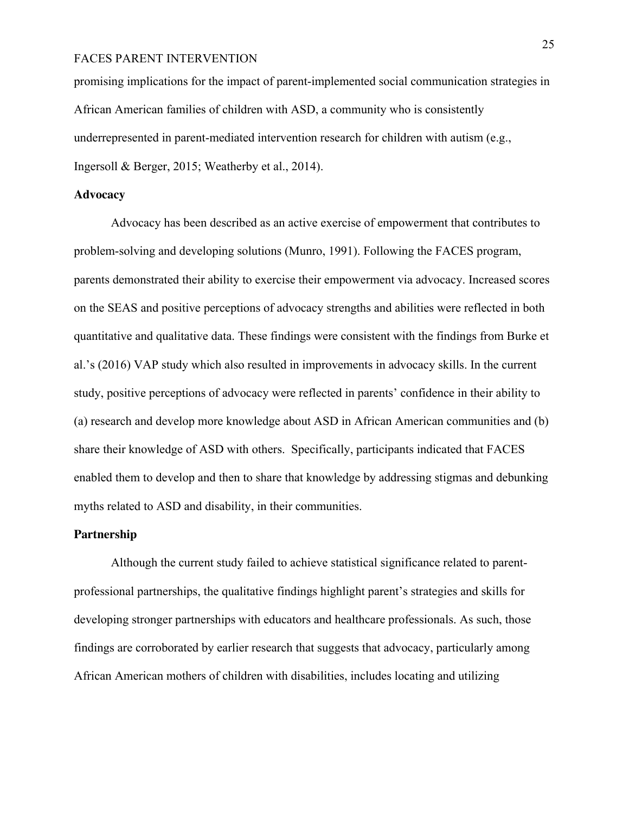promising implications for the impact of parent-implemented social communication strategies in African American families of children with ASD, a community who is consistently underrepresented in parent-mediated intervention research for children with autism (e.g., Ingersoll & Berger, 2015; Weatherby et al., 2014).

## **Advocacy**

Advocacy has been described as an active exercise of empowerment that contributes to problem-solving and developing solutions (Munro, 1991). Following the FACES program, parents demonstrated their ability to exercise their empowerment via advocacy. Increased scores on the SEAS and positive perceptions of advocacy strengths and abilities were reflected in both quantitative and qualitative data. These findings were consistent with the findings from Burke et al.'s (2016) VAP study which also resulted in improvements in advocacy skills. In the current study, positive perceptions of advocacy were reflected in parents' confidence in their ability to (a) research and develop more knowledge about ASD in African American communities and (b) share their knowledge of ASD with others. Specifically, participants indicated that FACES enabled them to develop and then to share that knowledge by addressing stigmas and debunking myths related to ASD and disability, in their communities.

## **Partnership**

Although the current study failed to achieve statistical significance related to parentprofessional partnerships, the qualitative findings highlight parent's strategies and skills for developing stronger partnerships with educators and healthcare professionals. As such, those findings are corroborated by earlier research that suggests that advocacy, particularly among African American mothers of children with disabilities, includes locating and utilizing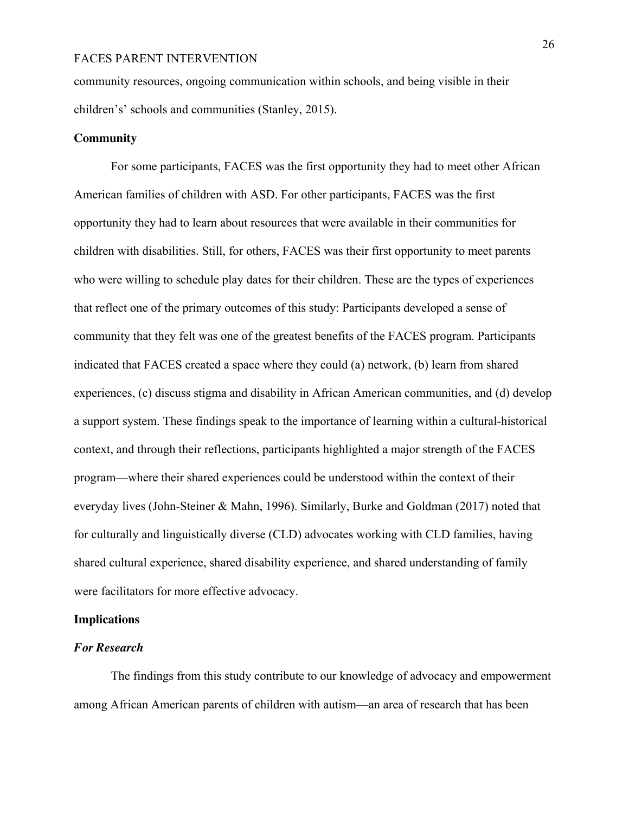community resources, ongoing communication within schools, and being visible in their children's' schools and communities (Stanley, 2015).

## **Community**

For some participants, FACES was the first opportunity they had to meet other African American families of children with ASD. For other participants, FACES was the first opportunity they had to learn about resources that were available in their communities for children with disabilities. Still, for others, FACES was their first opportunity to meet parents who were willing to schedule play dates for their children. These are the types of experiences that reflect one of the primary outcomes of this study: Participants developed a sense of community that they felt was one of the greatest benefits of the FACES program. Participants indicated that FACES created a space where they could (a) network, (b) learn from shared experiences, (c) discuss stigma and disability in African American communities, and (d) develop a support system. These findings speak to the importance of learning within a cultural-historical context, and through their reflections, participants highlighted a major strength of the FACES program—where their shared experiences could be understood within the context of their everyday lives (John-Steiner & Mahn, 1996). Similarly, Burke and Goldman (2017) noted that for culturally and linguistically diverse (CLD) advocates working with CLD families, having shared cultural experience, shared disability experience, and shared understanding of family were facilitators for more effective advocacy.

## **Implications**

#### *For Research*

The findings from this study contribute to our knowledge of advocacy and empowerment among African American parents of children with autism—an area of research that has been

26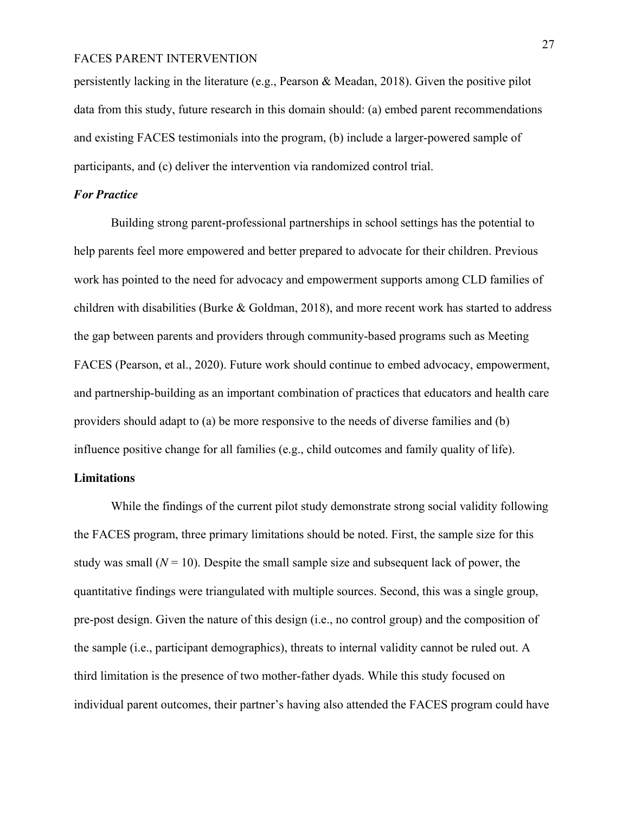persistently lacking in the literature (e.g., Pearson & Meadan, 2018). Given the positive pilot data from this study, future research in this domain should: (a) embed parent recommendations and existing FACES testimonials into the program, (b) include a larger-powered sample of participants, and (c) deliver the intervention via randomized control trial.

# *For Practice*

Building strong parent-professional partnerships in school settings has the potential to help parents feel more empowered and better prepared to advocate for their children. Previous work has pointed to the need for advocacy and empowerment supports among CLD families of children with disabilities (Burke & Goldman, 2018), and more recent work has started to address the gap between parents and providers through community-based programs such as Meeting FACES (Pearson, et al., 2020). Future work should continue to embed advocacy, empowerment, and partnership-building as an important combination of practices that educators and health care providers should adapt to (a) be more responsive to the needs of diverse families and (b) influence positive change for all families (e.g., child outcomes and family quality of life).

# **Limitations**

While the findings of the current pilot study demonstrate strong social validity following the FACES program, three primary limitations should be noted. First, the sample size for this study was small  $(N = 10)$ . Despite the small sample size and subsequent lack of power, the quantitative findings were triangulated with multiple sources. Second, this was a single group, pre-post design. Given the nature of this design (i.e., no control group) and the composition of the sample (i.e., participant demographics), threats to internal validity cannot be ruled out. A third limitation is the presence of two mother-father dyads. While this study focused on individual parent outcomes, their partner's having also attended the FACES program could have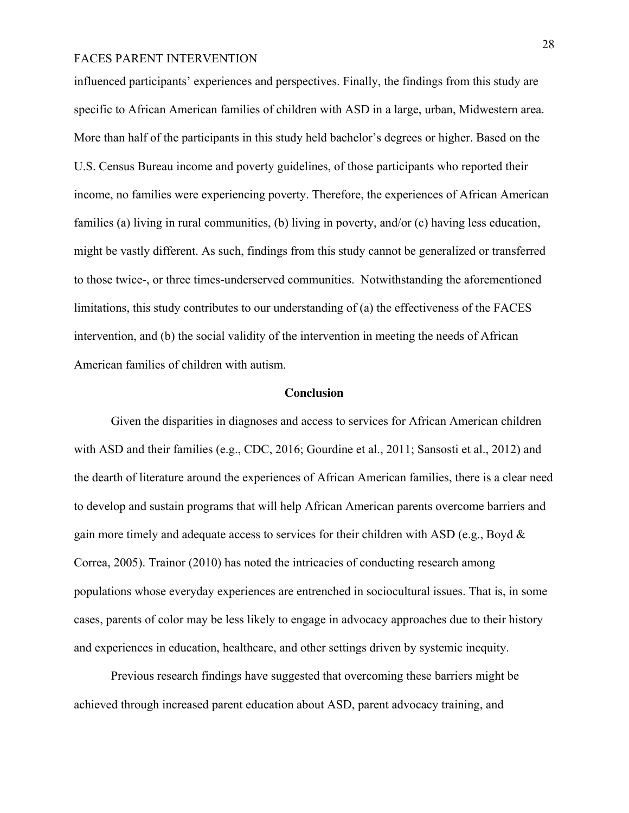influenced participants' experiences and perspectives. Finally, the findings from this study are specific to African American families of children with ASD in a large, urban, Midwestern area. More than half of the participants in this study held bachelor's degrees or higher. Based on the U.S. Census Bureau income and poverty guidelines, of those participants who reported their income, no families were experiencing poverty. Therefore, the experiences of African American families (a) living in rural communities, (b) living in poverty, and/or (c) having less education, might be vastly different. As such, findings from this study cannot be generalized or transferred to those twice-, or three times-underserved communities. Notwithstanding the aforementioned limitations, this study contributes to our understanding of (a) the effectiveness of the FACES intervention, and (b) the social validity of the intervention in meeting the needs of African American families of children with autism.

#### **Conclusion**

Given the disparities in diagnoses and access to services for African American children with ASD and their families (e.g., CDC, 2016; Gourdine et al., 2011; Sansosti et al., 2012) and the dearth of literature around the experiences of African American families, there is a clear need to develop and sustain programs that will help African American parents overcome barriers and gain more timely and adequate access to services for their children with ASD (e.g., Boyd & Correa, 2005). Trainor (2010) has noted the intricacies of conducting research among populations whose everyday experiences are entrenched in sociocultural issues. That is, in some cases, parents of color may be less likely to engage in advocacy approaches due to their history and experiences in education, healthcare, and other settings driven by systemic inequity.

Previous research findings have suggested that overcoming these barriers might be achieved through increased parent education about ASD, parent advocacy training, and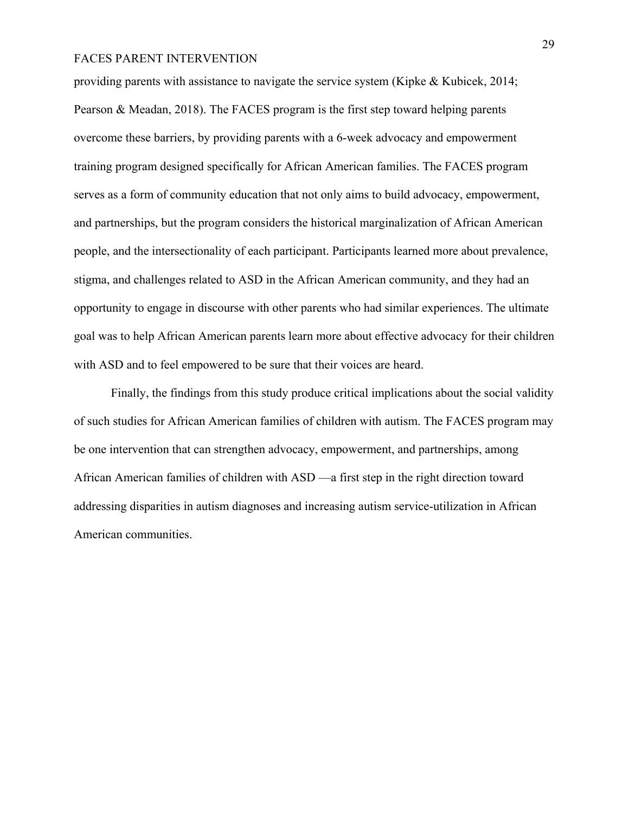providing parents with assistance to navigate the service system (Kipke & Kubicek, 2014; Pearson & Meadan, 2018). The FACES program is the first step toward helping parents overcome these barriers, by providing parents with a 6-week advocacy and empowerment training program designed specifically for African American families. The FACES program serves as a form of community education that not only aims to build advocacy, empowerment, and partnerships, but the program considers the historical marginalization of African American people, and the intersectionality of each participant. Participants learned more about prevalence, stigma, and challenges related to ASD in the African American community, and they had an opportunity to engage in discourse with other parents who had similar experiences. The ultimate goal was to help African American parents learn more about effective advocacy for their children with ASD and to feel empowered to be sure that their voices are heard.

Finally, the findings from this study produce critical implications about the social validity of such studies for African American families of children with autism. The FACES program may be one intervention that can strengthen advocacy, empowerment, and partnerships, among African American families of children with ASD —a first step in the right direction toward addressing disparities in autism diagnoses and increasing autism service-utilization in African American communities.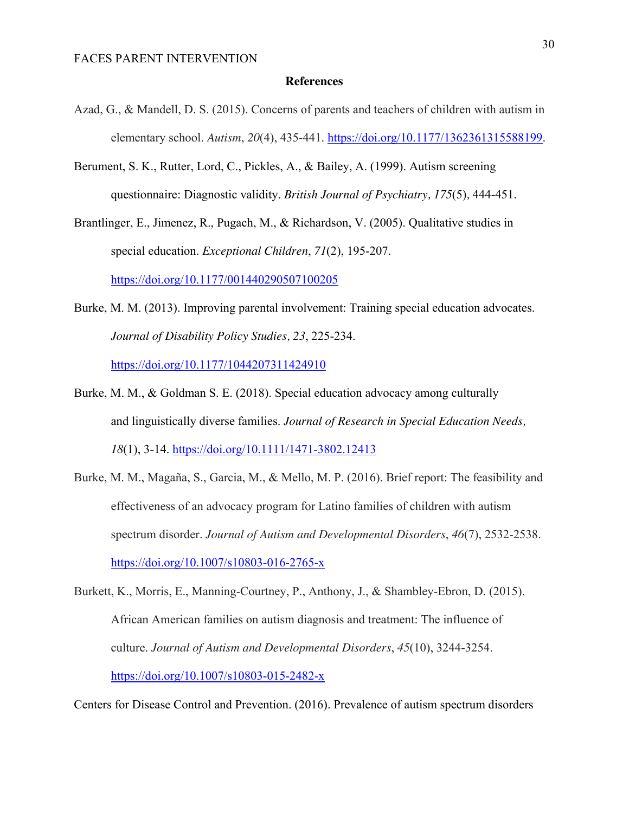#### **References**

- Azad, G., & Mandell, D. S. (2015). Concerns of parents and teachers of children with autism in elementary school. *Autism*, *20*(4), 435-441. https://doi.org/10.1177/1362361315588199.
- Berument, S. K., Rutter, Lord, C., Pickles, A., & Bailey, A. (1999). Autism screening questionnaire: Diagnostic validity. *British Journal of Psychiatry, 175*(5)*,* 444-451.

Brantlinger, E., Jimenez, R., Pugach, M., & Richardson, V. (2005). Qualitative studies in special education. *Exceptional Children*, *71*(2), 195-207. https://doi.org/10.1177/001440290507100205

- Burke, M. M. (2013). Improving parental involvement: Training special education advocates. *Journal of Disability Policy Studies, 23*, 225-234. https://doi.org/10.1177/1044207311424910
- Burke, M. M., & Goldman S. E. (2018). Special education advocacy among culturally and linguistically diverse families. *Journal of Research in Special Education Needs, 18*(1), 3-14. https://doi.org/10.1111/1471-3802.12413
- Burke, M. M., Magaña, S., Garcia, M., & Mello, M. P. (2016). Brief report: The feasibility and effectiveness of an advocacy program for Latino families of children with autism spectrum disorder. *Journal of Autism and Developmental Disorders*, *46*(7), 2532-2538. https://doi.org/10.1007/s10803-016-2765-x
- Burkett, K., Morris, E., Manning-Courtney, P., Anthony, J., & Shambley-Ebron, D. (2015). African American families on autism diagnosis and treatment: The influence of culture. *Journal of Autism and Developmental Disorders*, *45*(10), 3244-3254. https://doi.org/10.1007/s10803-015-2482-x

Centers for Disease Control and Prevention. (2016). Prevalence of autism spectrum disorders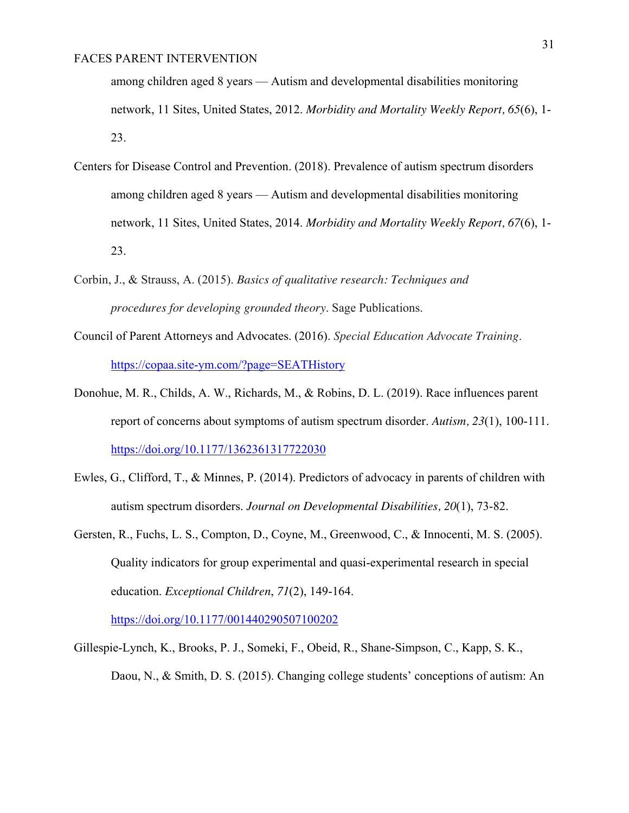among children aged 8 years — Autism and developmental disabilities monitoring network, 11 Sites, United States, 2012. *Morbidity and Mortality Weekly Report, 65*(6), 1- 23.

- Centers for Disease Control and Prevention. (2018). Prevalence of autism spectrum disorders among children aged 8 years — Autism and developmental disabilities monitoring network, 11 Sites, United States, 2014. *Morbidity and Mortality Weekly Report, 67*(6), 1- 23.
- Corbin, J., & Strauss, A. (2015). *Basics of qualitative research: Techniques and procedures for developing grounded theory*. Sage Publications.
- Council of Parent Attorneys and Advocates. (2016). *Special Education Advocate Training*. https://copaa.site-ym.com/?page=SEATHistory
- Donohue, M. R., Childs, A. W., Richards, M., & Robins, D. L. (2019). Race influences parent report of concerns about symptoms of autism spectrum disorder. *Autism, 23*(1), 100-111. https://doi.org/10.1177/1362361317722030
- Ewles, G., Clifford, T., & Minnes, P. (2014). Predictors of advocacy in parents of children with autism spectrum disorders. *Journal on Developmental Disabilities, 20*(1), 73-82.
- Gersten, R., Fuchs, L. S., Compton, D., Coyne, M., Greenwood, C., & Innocenti, M. S. (2005). Quality indicators for group experimental and quasi-experimental research in special education. *Exceptional Children*, *71*(2), 149-164.

https://doi.org/10.1177/001440290507100202

Gillespie-Lynch, K., Brooks, P. J., Someki, F., Obeid, R., Shane-Simpson, C., Kapp, S. K., Daou, N., & Smith, D. S. (2015). Changing college students' conceptions of autism: An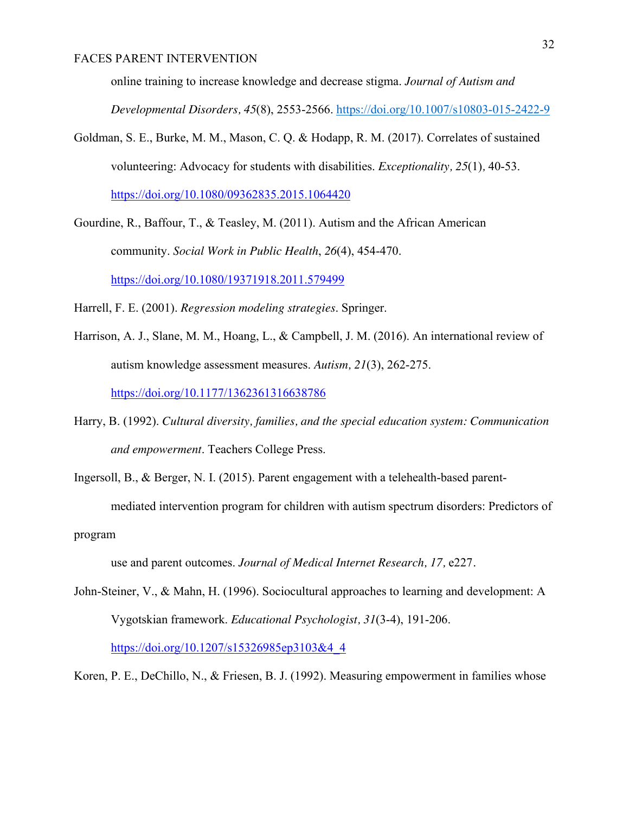online training to increase knowledge and decrease stigma. *Journal of Autism and* 

*Developmental Disorders, 45*(8), 2553-2566. https://doi.org/10.1007/s10803-015-2422-9

Goldman, S. E., Burke, M. M., Mason, C. Q. & Hodapp, R. M. (2017). Correlates of sustained volunteering: Advocacy for students with disabilities. *Exceptionality, 25*(1)*,* 40-53. https://doi.org/10.1080/09362835.2015.1064420

Gourdine, R., Baffour, T., & Teasley, M. (2011). Autism and the African American community. *Social Work in Public Health*, *26*(4), 454-470. https://doi.org/10.1080/19371918.2011.579499

Harrell, F. E. (2001). *Regression modeling strategies*. Springer.

Harrison, A. J., Slane, M. M., Hoang, L., & Campbell, J. M. (2016). An international review of autism knowledge assessment measures. *Autism, 21*(3), 262-275. https://doi.org/10.1177/1362361316638786

Harry, B. (1992). *Cultural diversity, families, and the special education system: Communication and empowerment*. Teachers College Press.

Ingersoll, B., & Berger, N. I. (2015). Parent engagement with a telehealth-based parentmediated intervention program for children with autism spectrum disorders: Predictors of program

use and parent outcomes. *Journal of Medical Internet Research, 17,* e227*.* 

John-Steiner, V., & Mahn, H. (1996). Sociocultural approaches to learning and development: A Vygotskian framework. *Educational Psychologist, 31*(3-4), 191-206. https://doi.org/10.1207/s15326985ep3103&4\_4

Koren, P. E., DeChillo, N., & Friesen, B. J. (1992). Measuring empowerment in families whose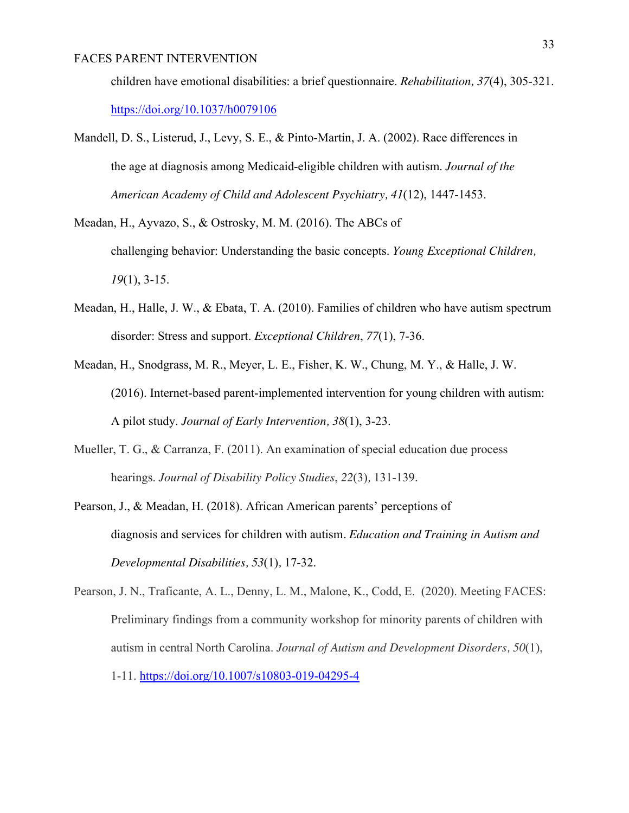children have emotional disabilities: a brief questionnaire. *Rehabilitation, 37*(4), 305-321. https://doi.org/10.1037/h0079106

- Mandell, D. S., Listerud, J., Levy, S. E., & Pinto-Martin, J. A. (2002). Race differences in the age at diagnosis among Medicaid-eligible children with autism. *Journal of the American Academy of Child and Adolescent Psychiatry, 41*(12), 1447-1453.
- Meadan, H., Ayvazo, S., & Ostrosky, M. M. (2016). The ABCs of challenging behavior: Understanding the basic concepts. *Young Exceptional Children, 19*(1), 3-15.
- Meadan, H., Halle, J. W., & Ebata, T. A. (2010). Families of children who have autism spectrum disorder: Stress and support. *Exceptional Children*, *77*(1), 7-36.
- Meadan, H., Snodgrass, M. R., Meyer, L. E., Fisher, K. W., Chung, M. Y., & Halle, J. W. (2016). Internet-based parent-implemented intervention for young children with autism: A pilot study. *Journal of Early Intervention, 38*(1), 3-23.
- Mueller, T. G., & Carranza, F. (2011). An examination of special education due process hearings. *Journal of Disability Policy Studies*, *22*(3)*,* 131-139.
- Pearson, J., & Meadan, H. (2018). African American parents' perceptions of diagnosis and services for children with autism*. Education and Training in Autism and Developmental Disabilities, 53*(1)*,* 17-32.
- Pearson, J. N., Traficante, A. L., Denny, L. M., Malone, K., Codd, E. (2020). Meeting FACES: Preliminary findings from a community workshop for minority parents of children with autism in central North Carolina. *Journal of Autism and Development Disorders, 50*(1), 1-11. https://doi.org/10.1007/s10803-019-04295-4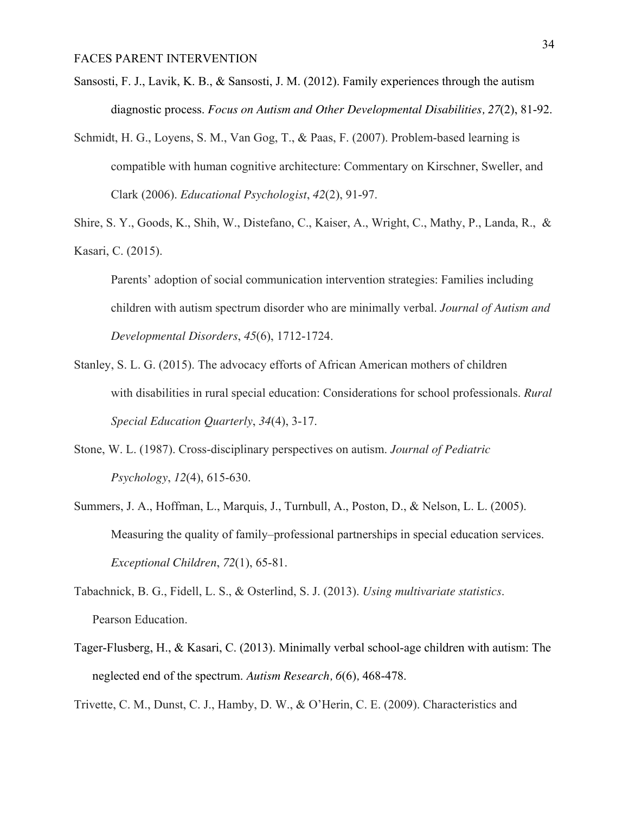- Sansosti, F. J., Lavik, K. B., & Sansosti, J. M. (2012). Family experiences through the autism diagnostic process. *Focus on Autism and Other Developmental Disabilities, 27*(2), 81-92.
- Schmidt, H. G., Loyens, S. M., Van Gog, T., & Paas, F. (2007). Problem-based learning is compatible with human cognitive architecture: Commentary on Kirschner, Sweller, and Clark (2006). *Educational Psychologist*, *42*(2), 91-97.

Shire, S. Y., Goods, K., Shih, W., Distefano, C., Kaiser, A., Wright, C., Mathy, P., Landa, R., & Kasari, C. (2015).

Parents' adoption of social communication intervention strategies: Families including children with autism spectrum disorder who are minimally verbal. *Journal of Autism and Developmental Disorders*, *45*(6), 1712-1724.

- Stanley, S. L. G. (2015). The advocacy efforts of African American mothers of children with disabilities in rural special education: Considerations for school professionals. *Rural Special Education Quarterly*, *34*(4), 3-17.
- Stone, W. L. (1987). Cross-disciplinary perspectives on autism. *Journal of Pediatric Psychology*, *12*(4), 615-630.
- Summers, J. A., Hoffman, L., Marquis, J., Turnbull, A., Poston, D., & Nelson, L. L. (2005). Measuring the quality of family–professional partnerships in special education services. *Exceptional Children*, *72*(1), 65-81.
- Tabachnick, B. G., Fidell, L. S., & Osterlind, S. J. (2013). *Using multivariate statistics*. Pearson Education.
- Tager-Flusberg, H., & Kasari, C. (2013). Minimally verbal school-age children with autism: The neglected end of the spectrum. *Autism Research, 6*(6)*,* 468-478.

Trivette, C. M., Dunst, C. J., Hamby, D. W., & O'Herin, C. E. (2009). Characteristics and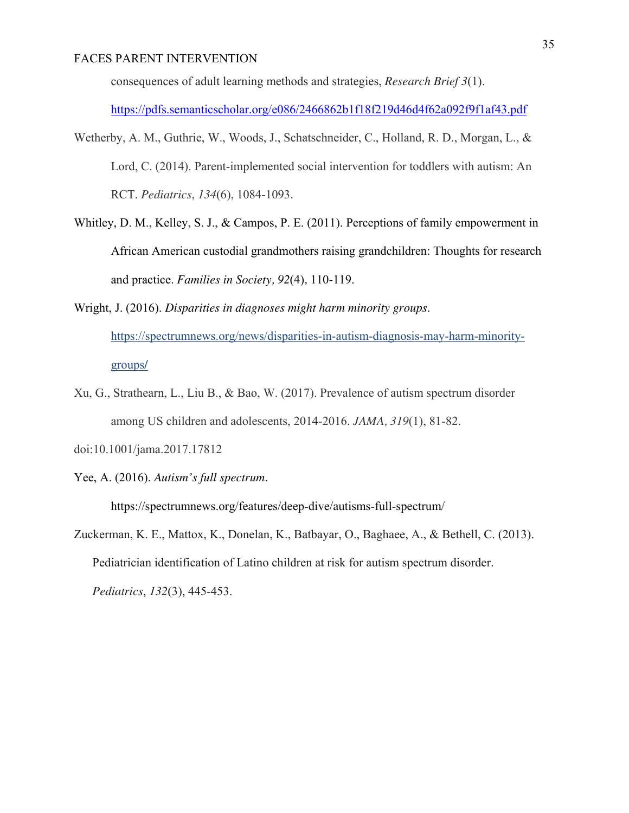consequences of adult learning methods and strategies, *Research Brief 3*(1).

https://pdfs.semanticscholar.org/e086/2466862b1f18f219d46d4f62a092f9f1af43.pdf

- Wetherby, A. M., Guthrie, W., Woods, J., Schatschneider, C., Holland, R. D., Morgan, L., & Lord, C. (2014). Parent-implemented social intervention for toddlers with autism: An RCT. *Pediatrics*, *134*(6), 1084-1093.
- Whitley, D. M., Kelley, S. J., & Campos, P. E. (2011). Perceptions of family empowerment in African American custodial grandmothers raising grandchildren: Thoughts for research and practice. *Families in Society, 92*(4)*,* 110-119.

Wright, J. (2016). *Disparities in diagnoses might harm minority groups*.

https://spectrumnews.org/news/disparities-in-autism-diagnosis-may-harm-minoritygroups**/** 

- Xu, G., Strathearn, L., Liu B., & Bao, W. (2017). Prevalence of autism spectrum disorder among US children and adolescents, 2014-2016. *JAMA, 319*(1), 81-82.
- doi:10.1001/jama.2017.17812
- Yee, A. (2016). *Autism's full spectrum*.

https://spectrumnews.org/features/deep-dive/autisms-full-spectrum/

Zuckerman, K. E., Mattox, K., Donelan, K., Batbayar, O., Baghaee, A., & Bethell, C. (2013). Pediatrician identification of Latino children at risk for autism spectrum disorder. *Pediatrics*, *132*(3), 445-453.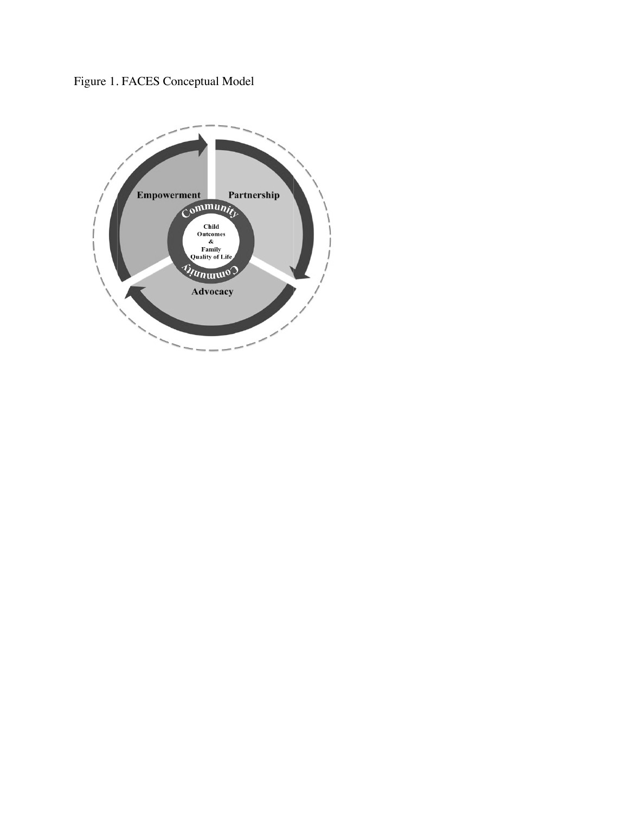Figure 1. FACES Conceptual Model

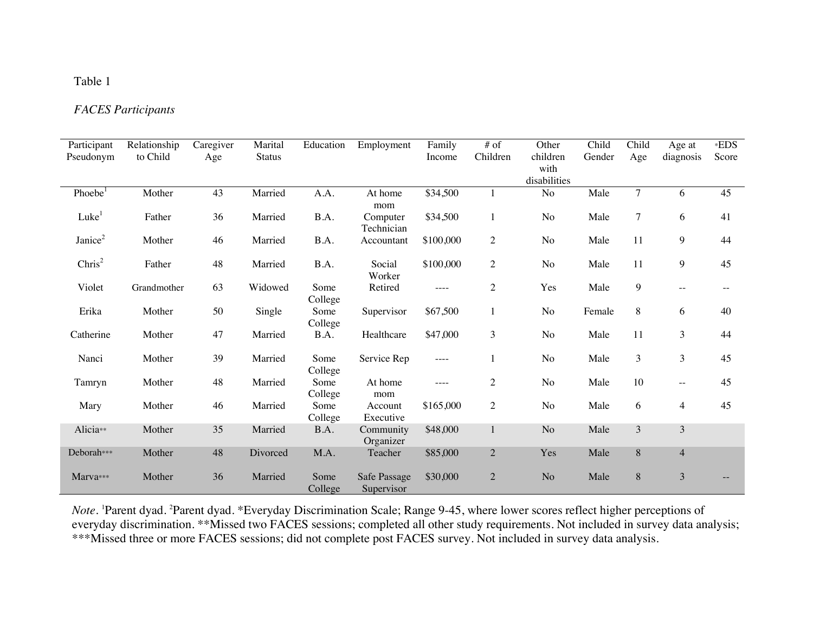## Table 1

# *FACES Participants*

| Participant         | Relationship | Caregiver | Marital       | Education       | Employment                 | Family    | # of           | Other          | Child  | Child          | Age at         | *EDS  |
|---------------------|--------------|-----------|---------------|-----------------|----------------------------|-----------|----------------|----------------|--------|----------------|----------------|-------|
| Pseudonym           | to Child     | Age       | <b>Status</b> |                 |                            | Income    | Children       | children       | Gender | Age            | diagnosis      | Score |
|                     |              |           |               |                 |                            |           |                | with           |        |                |                |       |
|                     |              |           |               |                 |                            |           |                | disabilities   |        |                |                |       |
| Phoebe <sup>1</sup> | Mother       | 43        | Married       | A.A.            | At home<br>mom             | \$34,500  |                | $\rm No$       | Male   | $\overline{7}$ | 6              | 45    |
| Luke <sup>1</sup>   | Father       | 36        | Married       | B.A.            | Computer<br>Technician     | \$34,500  | $\mathbf{1}$   | N <sub>o</sub> | Male   | $\overline{7}$ | 6              | 41    |
| Janice <sup>2</sup> | Mother       | 46        | Married       | B.A.            | Accountant                 | \$100,000 | $\overline{2}$ | No             | Male   | 11             | 9              | 44    |
| $\text{Chris}^2$    | Father       | 48        | Married       | B.A.            | Social<br>Worker           | \$100,000 | $\mathbf{2}$   | No             | Male   | 11             | 9              | 45    |
| Violet              | Grandmother  | 63        | Widowed       | Some<br>College | Retired                    | $--- -$   | $\mathbf{2}$   | Yes            | Male   | 9              | $- -$          |       |
| Erika               | Mother       | 50        | Single        | Some<br>College | Supervisor                 | \$67,500  | $\mathbf{1}$   | No             | Female | 8              | 6              | 40    |
| Catherine           | Mother       | 47        | Married       | B.A.            | Healthcare                 | \$47,000  | 3              | N <sub>o</sub> | Male   | 11             | 3              | 44    |
| Nanci               | Mother       | 39        | Married       | Some<br>College | Service Rep                | ----      | 1              | N <sub>o</sub> | Male   | 3              | 3              | 45    |
| Tamryn              | Mother       | 48        | Married       | Some<br>College | At home<br>mom             | $--- -$   | $\overline{2}$ | No             | Male   | 10             | $-$            | 45    |
| Mary                | Mother       | 46        | Married       | Some<br>College | Account<br>Executive       | \$165,000 | $\mathbf{2}$   | No             | Male   | 6              | $\overline{4}$ | 45    |
| Alicia**            | Mother       | 35        | Married       | B.A.            | Community<br>Organizer     | \$48,000  | $\mathbf{1}$   | N <sub>o</sub> | Male   | 3              | $\mathfrak{Z}$ |       |
| Deborah***          | Mother       | 48        | Divorced      | M.A.            | Teacher                    | \$85,000  | $\overline{2}$ | Yes            | Male   | 8              | $\overline{4}$ |       |
| Marva***            | Mother       | 36        | Married       | Some<br>College | Safe Passage<br>Supervisor | \$30,000  | $\overline{2}$ | N <sub>o</sub> | Male   | 8              | $\mathfrak{Z}$ |       |

*Note.* 1Parent dyad. 2Parent dyad. \*Everyday Discrimination Scale; Range 9-45, where lower scores reflect higher perceptions of everyday discrimination. \*\*Missed two FACES sessions; completed all other study requirements. Not included in survey data analysis; \*\*\*Missed three or more FACES sessions; did not complete post FACES survey. Not included in survey data analysis.